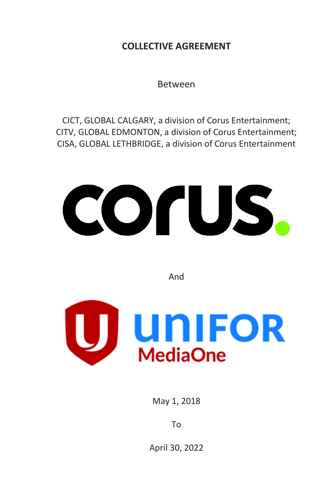## **COLLECTIVE AGREEMENT**

Between

CICT, GLOBAL CALGARY, a division of Corus Entertainment; CITV, GLOBAL EDMONTON, a division of Corus Entertainment; CISA, GLOBAL LETHBRIDGE, a division of Corus Entertainment



And



May 1, 2018

To

April 30, 2022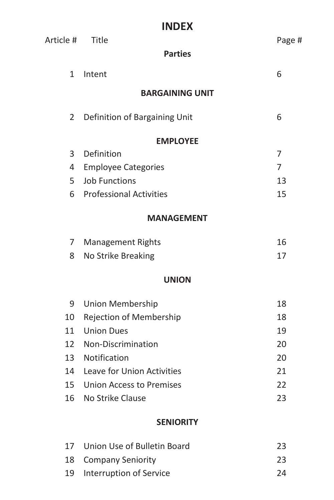# **INDEX**

| Article #      | Title                          | Page #         |
|----------------|--------------------------------|----------------|
|                | <b>Parties</b>                 |                |
| $\mathbf{1}$   | Intent                         | 6              |
|                | <b>BARGAINING UNIT</b>         |                |
| $\overline{2}$ | Definition of Bargaining Unit  | 6              |
|                | <b>EMPLOYEE</b>                |                |
| 3              | Definition                     | 7              |
| 4              | <b>Employee Categories</b>     | $\overline{7}$ |
| 5              | <b>Job Functions</b>           | 13             |
| 6              | <b>Professional Activities</b> | 15             |
|                | <b>MANAGEMENT</b>              |                |
| 7              | <b>Management Rights</b>       | 16             |
| 8              | No Strike Breaking             | 17             |
|                | <b>UNION</b>                   |                |
| 9              | <b>Union Membership</b>        | 18             |
| 10             | Rejection of Membership        | 18             |
| 11             | <b>Union Dues</b>              | 19             |
| 12             | Non-Discrimination             | 20             |
| 13             | Notification                   | 20             |
| 14             | Leave for Union Activities     | 21             |
| 15             | Union Access to Premises       | 22             |
| 16             | No Strike Clause               | 23             |
|                | <b>SENIORITY</b>               |                |
|                |                                |                |

| 17 Union Use of Bulletin Board | 23 |
|--------------------------------|----|
| 18 Company Seniority           | 23 |
| 19 Interruption of Service     | 24 |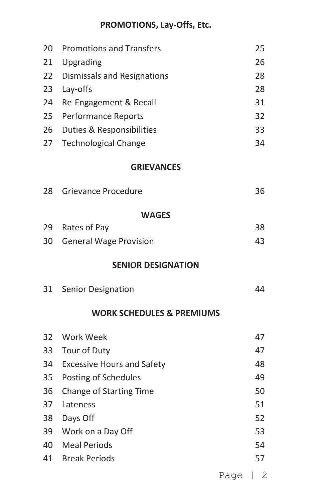## **PROMOTIONS, Lay-Offs, Etc.**

| 20 | <b>Promotions and Transfers</b>      | 25 |
|----|--------------------------------------|----|
| 21 | Upgrading                            | 26 |
| 22 | Dismissals and Resignations          | 28 |
| 23 | Lay-offs                             | 28 |
| 24 | Re-Engagement & Recall               | 31 |
| 25 | Performance Reports                  | 32 |
|    | 26 Duties & Responsibilities         | 33 |
| 27 | <b>Technological Change</b>          | 34 |
|    | <b>GRIEVANCES</b>                    |    |
| 28 | Grievance Procedure                  | 36 |
|    | <b>WAGFS</b>                         |    |
| 29 | Rates of Pay                         | 38 |
| 30 | <b>General Wage Provision</b>        | 43 |
|    | <b>SENIOR DESIGNATION</b>            |    |
|    | 31 Senior Designation                | 44 |
|    | <b>WORK SCHEDULES &amp; PREMIUMS</b> |    |
|    |                                      |    |

| 32 | Work Week                         |      | 47 |
|----|-----------------------------------|------|----|
| 33 | Tour of Duty                      |      | 47 |
| 34 | <b>Excessive Hours and Safety</b> |      | 48 |
| 35 | Posting of Schedules              |      | 49 |
| 36 | <b>Change of Starting Time</b>    |      | 50 |
| 37 | Lateness                          |      | 51 |
| 38 | Days Off                          |      | 52 |
| 39 | Work on a Day Off                 |      | 53 |
| 40 | <b>Meal Periods</b>               |      | 54 |
| 41 | <b>Break Periods</b>              |      | 57 |
|    |                                   | Page | 2  |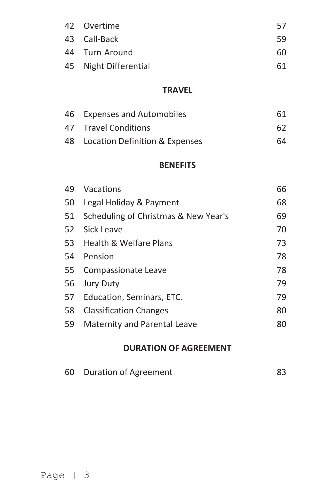| 42 Overtime           | 57  |
|-----------------------|-----|
| 43 Call-Back          | 59  |
| 44 Turn-Around        | 60. |
| 45 Night Differential | 61  |

## **TRAVEL**

| 46 Expenses and Automobiles       | 61  |
|-----------------------------------|-----|
| 47 Travel Conditions              | 62. |
| 48 Location Definition & Expenses | 64  |

## **BENEFITS**

| 49 | Vacations                            | 66 |
|----|--------------------------------------|----|
| 50 | Legal Holiday & Payment              | 68 |
| 51 | Scheduling of Christmas & New Year's | 69 |
| 52 | Sick Leave                           | 70 |
| 53 | <b>Health &amp; Welfare Plans</b>    | 73 |
| 54 | Pension                              | 78 |
| 55 | Compassionate Leave                  | 78 |
| 56 | <b>Jury Duty</b>                     | 79 |
| 57 | Education, Seminars, ETC.            | 79 |
| 58 | <b>Classification Changes</b>        | 80 |
| 59 | Maternity and Parental Leave         | 80 |
|    |                                      |    |

## **DURATION OF AGREEMENT**

| 60 | Duration of Agreement | 83 |
|----|-----------------------|----|
|----|-----------------------|----|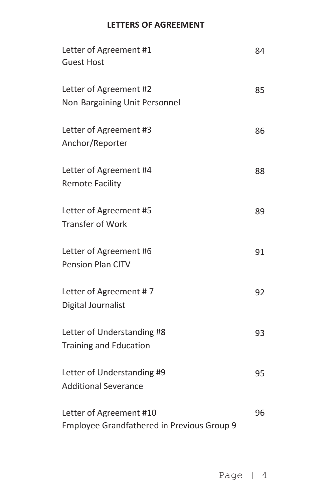## **LETTERS OF AGREEMENT**

| Letter of Agreement #1<br><b>Guest Host</b>                           | 84 |
|-----------------------------------------------------------------------|----|
| Letter of Agreement #2<br>Non-Bargaining Unit Personnel               | 85 |
| Letter of Agreement #3<br>Anchor/Reporter                             | 86 |
| Letter of Agreement #4<br><b>Remote Facility</b>                      | 88 |
| Letter of Agreement #5<br><b>Transfer of Work</b>                     | 89 |
| Letter of Agreement #6<br><b>Pension Plan CITV</b>                    | 91 |
| Letter of Agreement #7<br>Digital Journalist                          | 92 |
| Letter of Understanding #8<br><b>Training and Education</b>           | 93 |
| Letter of Understanding #9<br><b>Additional Severance</b>             | 95 |
| Letter of Agreement #10<br>Employee Grandfathered in Previous Group 9 | 96 |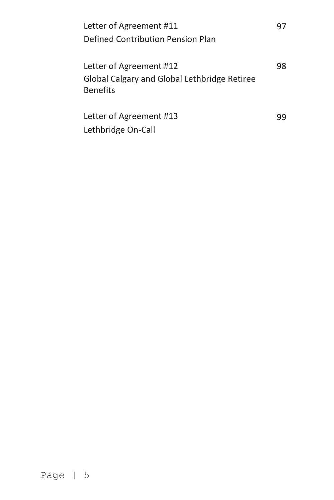| Letter of Agreement #11                      | 97 |
|----------------------------------------------|----|
| Defined Contribution Pension Plan            |    |
|                                              |    |
| Letter of Agreement #12                      | 98 |
| Global Calgary and Global Lethbridge Retiree |    |
| <b>Benefits</b>                              |    |
|                                              |    |
| Letter of Agreement #13                      | 99 |
| Lethbridge On-Call                           |    |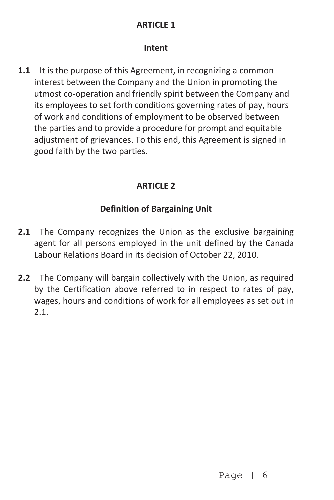#### **Intent**

**1.1** It is the purpose of this Agreement, in recognizing a common interest between the Company and the Union in promoting the utmost co-operation and friendly spirit between the Company and its employees to set forth conditions governing rates of pay, hours of work and conditions of employment to be observed between the parties and to provide a procedure for prompt and equitable adjustment of grievances. To this end, this Agreement is signed in good faith by the two parties.

## **ARTICLE 2**

## **Definition of Bargaining Unit**

- **2.1** The Company recognizes the Union as the exclusive bargaining agent for all persons employed in the unit defined by the Canada Labour Relations Board in its decision of October 22, 2010.
- **2.2** The Company will bargain collectively with the Union, as required by the Certification above referred to in respect to rates of pay, wages, hours and conditions of work for all employees as set out in 2.1.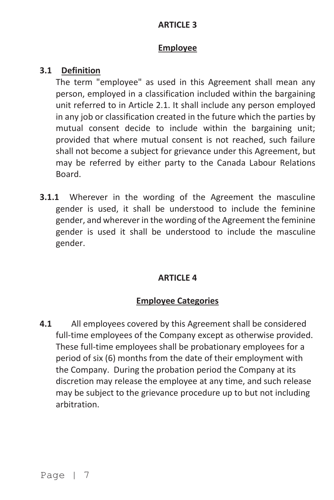#### **Employee**

#### **3.1 Definition**

 The term "employee" as used in this Agreement shall mean any person, employed in a classification included within the bargaining unit referred to in Article 2.1. It shall include any person employed in any job or classification created in the future which the parties by mutual consent decide to include within the bargaining unit; provided that where mutual consent is not reached, such failure shall not become a subject for grievance under this Agreement, but may be referred by either party to the Canada Labour Relations Board.

**3.1.1** Wherever in the wording of the Agreement the masculine gender is used, it shall be understood to include the feminine gender, and wherever in the wording of the Agreement the feminine gender is used it shall be understood to include the masculine gender.

## **ARTICLE 4**

#### **Employee Categories**

**4.1** All employees covered by this Agreement shall be considered full-time employees of the Company except as otherwise provided. These full-time employees shall be probationary employees for a period of six (6) months from the date of their employment with the Company. During the probation period the Company at its discretion may release the employee at any time, and such release may be subject to the grievance procedure up to but not including arbitration.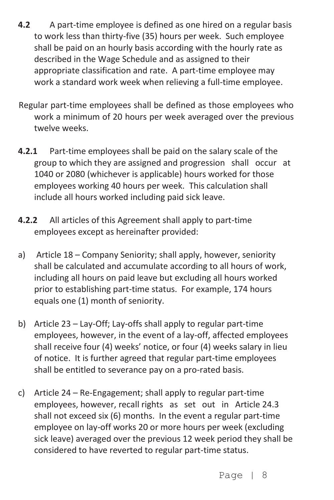- **4.2** A part-time employee is defined as one hired on a regular basis to work less than thirty-five (35) hours per week. Such employee shall be paid on an hourly basis according with the hourly rate as described in the Wage Schedule and as assigned to their appropriate classification and rate. A part-time employee may work a standard work week when relieving a full-time employee.
- Regular part-time employees shall be defined as those employees who work a minimum of 20 hours per week averaged over the previous twelve weeks.
- **4.2.1** Part-time employees shall be paid on the salary scale of the group to which they are assigned and progression shall occur at 1040 or 2080 (whichever is applicable) hours worked for those employees working 40 hours per week. This calculation shall include all hours worked including paid sick leave.
- **4.2.2** All articles of this Agreement shall apply to part-time employees except as hereinafter provided:
- a) Article 18 Company Seniority; shall apply, however, seniority shall be calculated and accumulate according to all hours of work, including all hours on paid leave but excluding all hours worked prior to establishing part-time status. For example, 174 hours equals one (1) month of seniority.
- b) Article 23 Lay-Off; Lay-offs shall apply to regular part-time employees, however, in the event of a lay-off, affected employees shall receive four (4) weeks' notice, or four (4) weeks salary in lieu of notice. It is further agreed that regular part-time employees shall be entitled to severance pay on a pro-rated basis.
- c) Article 24 Re-Engagement; shall apply to regular part-time employees, however, recall rights as set out in Article 24.3 shall not exceed six (6) months. In the event a regular part-time employee on lay-off works 20 or more hours per week (excluding sick leave) averaged over the previous 12 week period they shall be considered to have reverted to regular part-time status.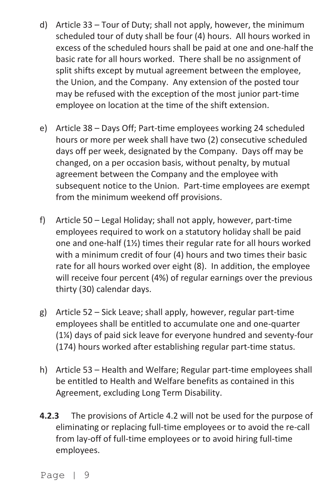- d) Article 33 Tour of Duty; shall not apply, however, the minimum scheduled tour of duty shall be four (4) hours. All hours worked in excess of the scheduled hours shall be paid at one and one-half the basic rate for all hours worked. There shall be no assignment of split shifts except by mutual agreement between the employee, the Union, and the Company. Any extension of the posted tour may be refused with the exception of the most junior part-time employee on location at the time of the shift extension.
- e) Article 38 Days Off; Part-time employees working 24 scheduled hours or more per week shall have two (2) consecutive scheduled days off per week, designated by the Company. Days off may be changed, on a per occasion basis, without penalty, by mutual agreement between the Company and the employee with subsequent notice to the Union. Part-time employees are exempt from the minimum weekend off provisions.
- f) Article 50 Legal Holiday; shall not apply, however, part-time employees required to work on a statutory holiday shall be paid one and one-half (1½) times their regular rate for all hours worked with a minimum credit of four (4) hours and two times their basic rate for all hours worked over eight (8). In addition, the employee will receive four percent (4%) of regular earnings over the previous thirty (30) calendar days.
- g) Article 52 Sick Leave; shall apply, however, regular part-time employees shall be entitled to accumulate one and one-quarter (1¼) days of paid sick leave for everyone hundred and seventy-four (174) hours worked after establishing regular part-time status.
- h) Article 53 Health and Welfare; Regular part-time employees shall be entitled to Health and Welfare benefits as contained in this Agreement, excluding Long Term Disability.
- **4.2.3** The provisions of Article 4.2 will not be used for the purpose of eliminating or replacing full-time employees or to avoid the re-call from lay-off of full-time employees or to avoid hiring full-time employees.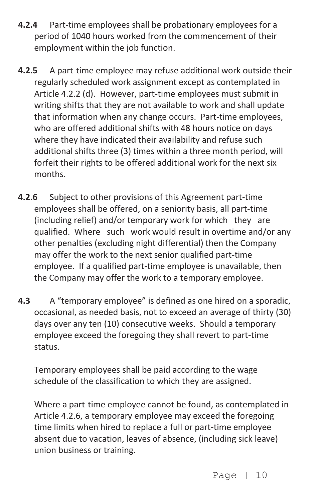- **4.2.4** Part-time employees shall be probationary employees for a period of 1040 hours worked from the commencement of their employment within the job function.
- **4.2.5** A part-time employee may refuse additional work outside their regularly scheduled work assignment except as contemplated in Article 4.2.2 (d). However, part-time employees must submit in writing shifts that they are not available to work and shall update that information when any change occurs. Part-time employees, who are offered additional shifts with 48 hours notice on days where they have indicated their availability and refuse such additional shifts three (3) times within a three month period, will forfeit their rights to be offered additional work for the next six months.
- **4.2.6** Subject to other provisions of this Agreement part-time employees shall be offered, on a seniority basis, all part-time (including relief) and/or temporary work for which they are qualified. Where such work would result in overtime and/or any other penalties (excluding night differential) then the Company may offer the work to the next senior qualified part-time employee. If a qualified part-time employee is unavailable, then the Company may offer the work to a temporary employee.
- **4.3** A "temporary employee" is defined as one hired on a sporadic, occasional, as needed basis, not to exceed an average of thirty (30) days over any ten (10) consecutive weeks. Should a temporary employee exceed the foregoing they shall revert to part-time status.

Temporary employees shall be paid according to the wage schedule of the classification to which they are assigned.

Where a part-time employee cannot be found, as contemplated in Article 4.2.6, a temporary employee may exceed the foregoing time limits when hired to replace a full or part-time employee absent due to vacation, leaves of absence, (including sick leave) union business or training.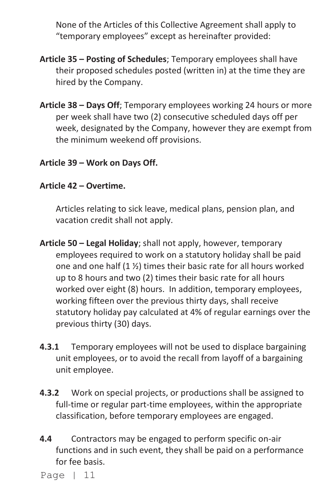None of the Articles of this Collective Agreement shall apply to "temporary employees" except as hereinafter provided:

- **Article 35 – Posting of Schedules**; Temporary employees shall have their proposed schedules posted (written in) at the time they are hired by the Company.
- **Article 38 – Days Off**; Temporary employees working 24 hours or more per week shall have two (2) consecutive scheduled days off per week, designated by the Company, however they are exempt from the minimum weekend off provisions.

### **Article 39 – Work on Days Off.**

#### **Article 42 – Overtime.**

Articles relating to sick leave, medical plans, pension plan, and vacation credit shall not apply.

- **Article 50 – Legal Holiday**; shall not apply, however, temporary employees required to work on a statutory holiday shall be paid one and one half (1 ½) times their basic rate for all hours worked up to 8 hours and two (2) times their basic rate for all hours worked over eight (8) hours. In addition, temporary employees, working fifteen over the previous thirty days, shall receive statutory holiday pay calculated at 4% of regular earnings over the previous thirty (30) days.
- **4.3.1** Temporary employees will not be used to displace bargaining unit employees, or to avoid the recall from layoff of a bargaining unit employee.
- **4.3.2** Work on special projects, or productions shall be assigned to full-time or regular part-time employees, within the appropriate classification, before temporary employees are engaged.
- **4.4** Contractors may be engaged to perform specific on-air functions and in such event, they shall be paid on a performance for fee basis.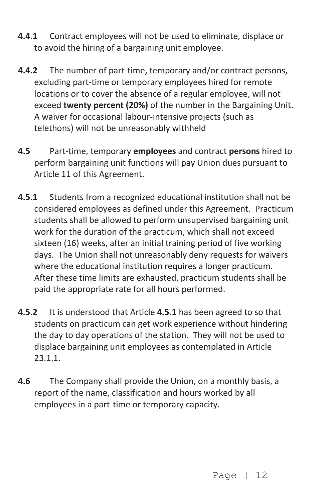- **4.4.1** Contract employees will not be used to eliminate, displace or to avoid the hiring of a bargaining unit employee.
- **4.4.2** The number of part-time, temporary and/or contract persons, excluding part-time or temporary employees hired for remote locations or to cover the absence of a regular employee, will not exceed **twenty percent (20%)** of the number in the Bargaining Unit. A waiver for occasional labour-intensive projects (such as telethons) will not be unreasonably withheld
- **4.5** Part-time, temporary **employees** and contract **persons** hired to perform bargaining unit functions will pay Union dues pursuant to Article 11 of this Agreement.
- **4.5.1** Students from a recognized educational institution shall not be considered employees as defined under this Agreement. Practicum students shall be allowed to perform unsupervised bargaining unit work for the duration of the practicum, which shall not exceed sixteen (16) weeks, after an initial training period of five working days. The Union shall not unreasonably deny requests for waivers where the educational institution requires a longer practicum. After these time limits are exhausted, practicum students shall be paid the appropriate rate for all hours performed.
- **4.5.2** It is understood that Article **4.5.1** has been agreed to so that students on practicum can get work experience without hindering the day to day operations of the station. They will not be used to displace bargaining unit employees as contemplated in Article 23.1.1.
- **4.6** The Company shall provide the Union, on a monthly basis, a report of the name, classification and hours worked by all employees in a part-time or temporary capacity.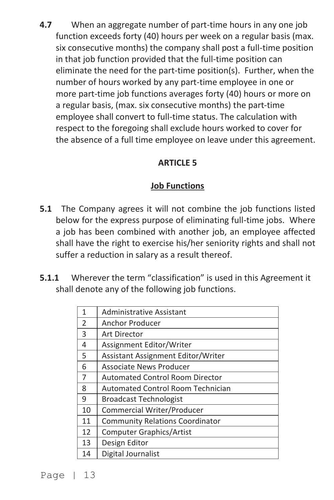**4.7** When an aggregate number of part-time hours in any one job function exceeds forty (40) hours per week on a regular basis (max. six consecutive months) the company shall post a full-time position in that job function provided that the full-time position can eliminate the need for the part-time position(s). Further, when the number of hours worked by any part-time employee in one or more part-time job functions averages forty (40) hours or more on a regular basis, (max. six consecutive months) the part-time employee shall convert to full-time status. The calculation with respect to the foregoing shall exclude hours worked to cover for the absence of a full time employee on leave under this agreement.

## **ARTICLE 5**

## **Job Functions**

- **5.1** The Company agrees it will not combine the job functions listed below for the express purpose of eliminating full-time jobs. Where a job has been combined with another job, an employee affected shall have the right to exercise his/her seniority rights and shall not suffer a reduction in salary as a result thereof.
- **5.1.1** Wherever the term "classification" is used in this Agreement it shall denote any of the following job functions.

| $\mathbf{1}$   | Administrative Assistant                 |
|----------------|------------------------------------------|
| $\overline{2}$ | <b>Anchor Producer</b>                   |
| 3              | Art Director                             |
| 4              | Assignment Editor/Writer                 |
| 5              | Assistant Assignment Editor/Writer       |
| 6              | Associate News Producer                  |
| $\overline{7}$ | Automated Control Room Director          |
| 8              | <b>Automated Control Room Technician</b> |
| 9              | <b>Broadcast Technologist</b>            |
| 10             | Commercial Writer/Producer               |
| 11             | <b>Community Relations Coordinator</b>   |
| 12             | <b>Computer Graphics/Artist</b>          |
| 13             | Design Editor                            |
| 14             | Digital Journalist                       |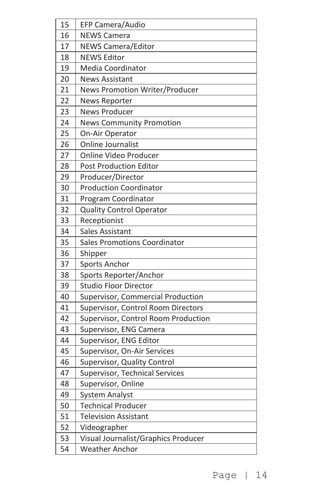| 15 | <b>EFP Camera/Audio</b>             |
|----|-------------------------------------|
| 16 | <b>NEWS Camera</b>                  |
| 17 | <b>NEWS Camera/Editor</b>           |
| 18 | <b>NEWS Editor</b>                  |
| 19 | Media Coordinator                   |
| 20 | <b>News Assistant</b>               |
| 21 | News Promotion Writer/Producer      |
| 22 | <b>News Reporter</b>                |
| 23 | <b>News Producer</b>                |
| 24 | <b>News Community Promotion</b>     |
| 25 | On-Air Operator                     |
| 26 | Online Journalist                   |
| 27 | Online Video Producer               |
| 28 | Post Production Editor              |
| 29 | Producer/Director                   |
| 30 | <b>Production Coordinator</b>       |
| 31 | Program Coordinator                 |
| 32 | <b>Quality Control Operator</b>     |
| 33 | Receptionist                        |
| 34 | Sales Assistant                     |
| 35 | Sales Promotions Coordinator        |
| 36 | Shipper                             |
| 37 | <b>Sports Anchor</b>                |
| 38 | Sports Reporter/Anchor              |
| 39 | <b>Studio Floor Director</b>        |
| 40 | Supervisor, Commercial Production   |
| 41 | Supervisor, Control Room Directors  |
| 42 | Supervisor, Control Room Production |
| 43 | Supervisor, ENG Camera              |
| 44 | Supervisor, ENG Editor              |
| 45 | Supervisor, On-Air Services         |
| 46 | Supervisor, Quality Control         |
| 47 | Supervisor, Technical Services      |
| 48 | Supervisor, Online                  |
| 49 | <b>System Analyst</b>               |
| 50 | <b>Technical Producer</b>           |
| 51 | <b>Television Assistant</b>         |
| 52 | Videographer                        |
| 53 | Visual Journalist/Graphics Producer |
| 54 | <b>Weather Anchor</b>               |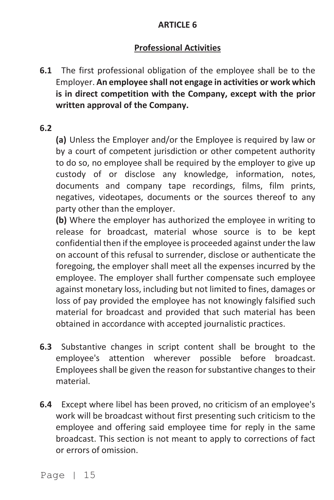## **Professional Activities**

**6.1** The first professional obligation of the employee shall be to the Employer. **An employee shall not engage in activities or work which is in direct competition with the Company, except with the prior written approval of the Company.**

#### **6.2**

 **(a)** Unless the Employer and/or the Employee is required by law or by a court of competent jurisdiction or other competent authority to do so, no employee shall be required by the employer to give up custody of or disclose any knowledge, information, notes, documents and company tape recordings, films, film prints, negatives, videotapes, documents or the sources thereof to any party other than the employer.

 **(b)** Where the employer has authorized the employee in writing to release for broadcast, material whose source is to be kept confidential then if the employee is proceeded against under the law on account of this refusal to surrender, disclose or authenticate the foregoing, the employer shall meet all the expenses incurred by the employee. The employer shall further compensate such employee against monetary loss, including but not limited to fines, damages or loss of pay provided the employee has not knowingly falsified such material for broadcast and provided that such material has been obtained in accordance with accepted journalistic practices.

- **6.3** Substantive changes in script content shall be brought to the employee's attention wherever possible before broadcast. Employees shall be given the reason for substantive changes to their material.
- **6.4** Except where libel has been proved, no criticism of an employee's work will be broadcast without first presenting such criticism to the employee and offering said employee time for reply in the same broadcast. This section is not meant to apply to corrections of fact or errors of omission.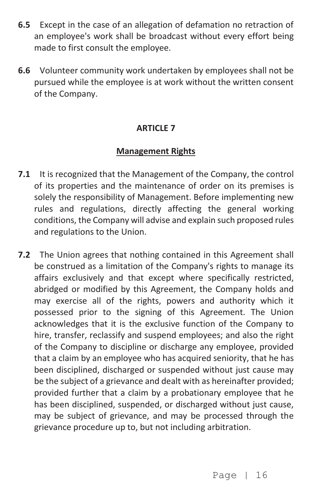- **6.5** Except in the case of an allegation of defamation no retraction of an employee's work shall be broadcast without every effort being made to first consult the employee.
- **6.6** Volunteer community work undertaken by employees shall not be pursued while the employee is at work without the written consent of the Company.

## **Management Rights**

- **7.1** It is recognized that the Management of the Company, the control of its properties and the maintenance of order on its premises is solely the responsibility of Management. Before implementing new rules and regulations, directly affecting the general working conditions, the Company will advise and explain such proposed rules and regulations to the Union.
- **7.2** The Union agrees that nothing contained in this Agreement shall be construed as a limitation of the Company's rights to manage its affairs exclusively and that except where specifically restricted, abridged or modified by this Agreement, the Company holds and may exercise all of the rights, powers and authority which it possessed prior to the signing of this Agreement. The Union acknowledges that it is the exclusive function of the Company to hire, transfer, reclassify and suspend employees; and also the right of the Company to discipline or discharge any employee, provided that a claim by an employee who has acquired seniority, that he has been disciplined, discharged or suspended without just cause may be the subject of a grievance and dealt with as hereinafter provided; provided further that a claim by a probationary employee that he has been disciplined, suspended, or discharged without just cause. may be subject of grievance, and may be processed through the grievance procedure up to, but not including arbitration.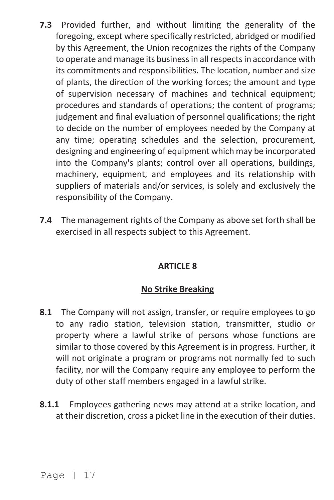- **7.3** Provided further, and without limiting the generality of the foregoing, except where specifically restricted, abridged or modified by this Agreement, the Union recognizes the rights of the Company to operate and manage its business in all respects in accordance with its commitments and responsibilities. The location, number and size of plants, the direction of the working forces; the amount and type of supervision necessary of machines and technical equipment; procedures and standards of operations; the content of programs; judgement and final evaluation of personnel qualifications; the right to decide on the number of employees needed by the Company at any time; operating schedules and the selection, procurement, designing and engineering of equipment which may be incorporated into the Company's plants; control over all operations, buildings, machinery, equipment, and employees and its relationship with suppliers of materials and/or services, is solely and exclusively the responsibility of the Company.
- **7.4** The management rights of the Company as above set forth shall be exercised in all respects subject to this Agreement.

### **No Strike Breaking**

- **8.1** The Company will not assign, transfer, or require employees to go to any radio station, television station, transmitter, studio or property where a lawful strike of persons whose functions are similar to those covered by this Agreement is in progress. Further, it will not originate a program or programs not normally fed to such facility, nor will the Company require any employee to perform the duty of other staff members engaged in a lawful strike.
- **8.1.1** Employees gathering news may attend at a strike location, and at their discretion, cross a picket line in the execution of their duties.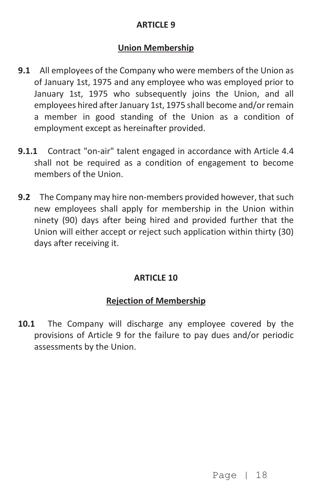## **Union Membership**

- **9.1** All employees of the Company who were members of the Union as of January 1st, 1975 and any employee who was employed prior to January 1st, 1975 who subsequently joins the Union, and all employees hired after January 1st, 1975 shall become and/or remain a member in good standing of the Union as a condition of employment except as hereinafter provided.
- **9.1.1** Contract "on-air" talent engaged in accordance with Article 4.4 shall not be required as a condition of engagement to become members of the Union.
- **9.2** The Company may hire non-members provided however, that such new employees shall apply for membership in the Union within ninety (90) days after being hired and provided further that the Union will either accept or reject such application within thirty (30) days after receiving it.

## **ARTICLE 10**

## **Rejection of Membership**

**10.1** The Company will discharge any employee covered by the provisions of Article 9 for the failure to pay dues and/or periodic assessments by the Union.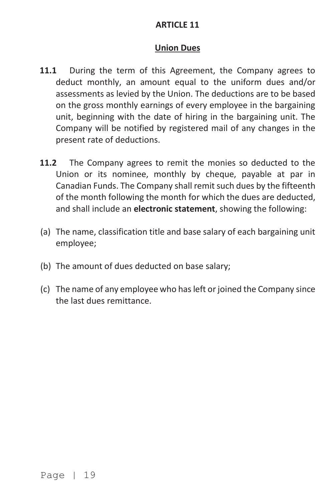#### **Union Dues**

- **11.1** During the term of this Agreement, the Company agrees to deduct monthly, an amount equal to the uniform dues and/or assessments as levied by the Union. The deductions are to be based on the gross monthly earnings of every employee in the bargaining unit, beginning with the date of hiring in the bargaining unit. The Company will be notified by registered mail of any changes in the present rate of deductions.
- **11.2** The Company agrees to remit the monies so deducted to the Union or its nominee, monthly by cheque, payable at par in Canadian Funds. The Company shall remit such dues by the fifteenth of the month following the month for which the dues are deducted, and shall include an **electronic statement**, showing the following:
- (a) The name, classification title and base salary of each bargaining unit employee;
- (b) The amount of dues deducted on base salary;
- (c) The name of any employee who has left or joined the Company since the last dues remittance.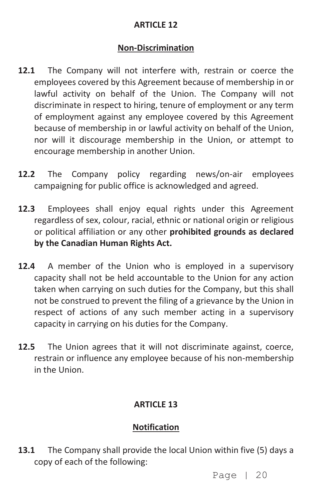#### **Non-Discrimination**

- **12.1** The Company will not interfere with, restrain or coerce the employees covered by this Agreement because of membership in or lawful activity on behalf of the Union. The Company will not discriminate in respect to hiring, tenure of employment or any term of employment against any employee covered by this Agreement because of membership in or lawful activity on behalf of the Union, nor will it discourage membership in the Union, or attempt to encourage membership in another Union.
- **12.2** The Company policy regarding news/on-air employees campaigning for public office is acknowledged and agreed.
- **12.3** Employees shall enjoy equal rights under this Agreement regardless of sex, colour, racial, ethnic or national origin or religious or political affiliation or any other **prohibited grounds as declared by the Canadian Human Rights Act.**
- **12.4** A member of the Union who is employed in a supervisory capacity shall not be held accountable to the Union for any action taken when carrying on such duties for the Company, but this shall not be construed to prevent the filing of a grievance by the Union in respect of actions of any such member acting in a supervisory capacity in carrying on his duties for the Company.
- **12.5** The Union agrees that it will not discriminate against, coerce, restrain or influence any employee because of his non-membership in the Union.

## **ARTICLE 13**

## **Notification**

**13.1** The Company shall provide the local Union within five (5) days a copy of each of the following: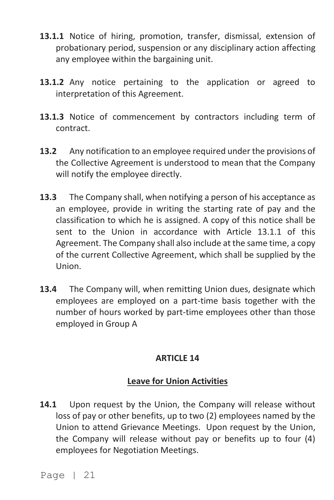- **13.1.1** Notice of hiring, promotion, transfer, dismissal, extension of probationary period, suspension or any disciplinary action affecting any employee within the bargaining unit.
- **13.1.2** Any notice pertaining to the application or agreed to interpretation of this Agreement.
- **13.1.3** Notice of commencement by contractors including term of contract.
- **13.2** Any notification to an employee required under the provisions of the Collective Agreement is understood to mean that the Company will notify the employee directly.
- **13.3** The Company shall, when notifying a person of his acceptance as an employee, provide in writing the starting rate of pay and the classification to which he is assigned. A copy of this notice shall be sent to the Union in accordance with Article 13.1.1 of this Agreement. The Company shall also include at the same time, a copy of the current Collective Agreement, which shall be supplied by the Union.
- **13.4** The Company will, when remitting Union dues, designate which employees are employed on a part-time basis together with the number of hours worked by part-time employees other than those employed in Group A

#### **Leave for Union Activities**

**14.1** Upon request by the Union, the Company will release without loss of pay or other benefits, up to two (2) employees named by the Union to attend Grievance Meetings. Upon request by the Union, the Company will release without pay or benefits up to four (4) employees for Negotiation Meetings.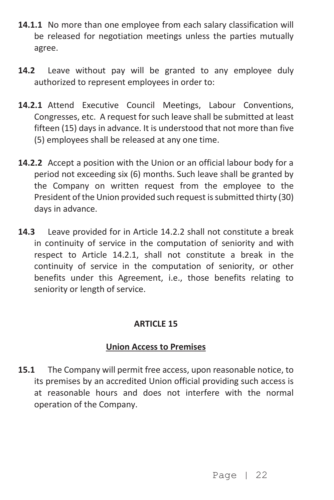- **14.1.1** No more than one employee from each salary classification will be released for negotiation meetings unless the parties mutually agree.
- **14.2** Leave without pay will be granted to any employee duly authorized to represent employees in order to:
- **14.2.1** Attend Executive Council Meetings, Labour Conventions, Congresses, etc. A request for such leave shall be submitted at least fifteen (15) days in advance. It is understood that not more than five (5) employees shall be released at any one time.
- **14.2.2** Accept a position with the Union or an official labour body for a period not exceeding six (6) months. Such leave shall be granted by the Company on written request from the employee to the President of the Union provided such request is submitted thirty (30) days in advance.
- **14.3** Leave provided for in Article 14.2.2 shall not constitute a break in continuity of service in the computation of seniority and with respect to Article 14.2.1, shall not constitute a break in the continuity of service in the computation of seniority, or other benefits under this Agreement, i.e., those benefits relating to seniority or length of service.

#### **Union Access to Premises**

**15.1** The Company will permit free access, upon reasonable notice, to its premises by an accredited Union official providing such access is at reasonable hours and does not interfere with the normal operation of the Company.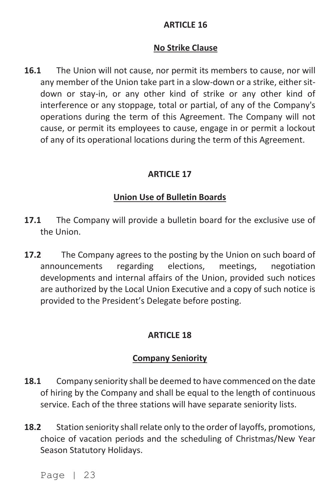### **No Strike Clause**

**16.1** The Union will not cause, nor permit its members to cause, nor will any member of the Union take part in a slow-down or a strike, either sitdown or stay-in, or any other kind of strike or any other kind of interference or any stoppage, total or partial, of any of the Company's operations during the term of this Agreement. The Company will not cause, or permit its employees to cause, engage in or permit a lockout of any of its operational locations during the term of this Agreement.

## **ARTICLE 17**

### **Union Use of Bulletin Boards**

- **17.1** The Company will provide a bulletin board for the exclusive use of the Union.
- **17.2** The Company agrees to the posting by the Union on such board of announcements regarding elections, meetings, negotiation developments and internal affairs of the Union, provided such notices are authorized by the Local Union Executive and a copy of such notice is provided to the President's Delegate before posting.

## **ARTICLE 18**

#### **Company Seniority**

- **18.1** Company seniority shall be deemed to have commenced on the date of hiring by the Company and shall be equal to the length of continuous service. Each of the three stations will have separate seniority lists.
- **18.2** Station seniority shall relate only to the order of layoffs, promotions, choice of vacation periods and the scheduling of Christmas/New Year Season Statutory Holidays.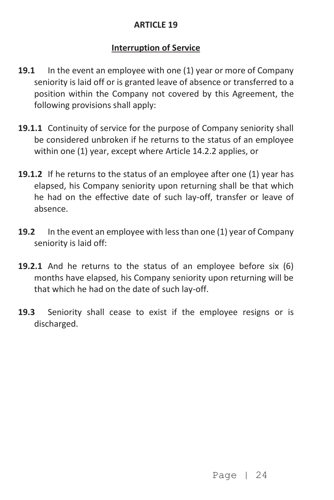## **Interruption of Service**

- **19.1** In the event an employee with one (1) year or more of Company seniority is laid off or is granted leave of absence or transferred to a position within the Company not covered by this Agreement, the following provisions shall apply:
- **19.1.1** Continuity of service for the purpose of Company seniority shall be considered unbroken if he returns to the status of an employee within one (1) year, except where Article 14.2.2 applies, or
- **19.1.2** If he returns to the status of an employee after one (1) year has elapsed, his Company seniority upon returning shall be that which he had on the effective date of such lay-off, transfer or leave of absence.
- **19.2** In the event an employee with less than one (1) year of Company seniority is laid off:
- **19.2.1** And he returns to the status of an employee before six (6) months have elapsed, his Company seniority upon returning will be that which he had on the date of such lay-off.
- **19.3** Seniority shall cease to exist if the employee resigns or is discharged.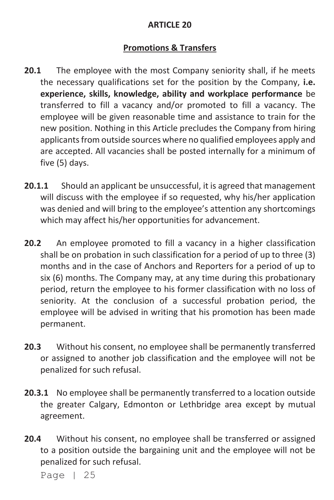## **Promotions & Transfers**

- **20.1** The employee with the most Company seniority shall, if he meets the necessary qualifications set for the position by the Company, **i.e. experience, skills, knowledge, ability and workplace performance** be transferred to fill a vacancy and/or promoted to fill a vacancy. The employee will be given reasonable time and assistance to train for the new position. Nothing in this Article precludes the Company from hiring applicants from outside sources where no qualified employees apply and are accepted. All vacancies shall be posted internally for a minimum of five (5) days.
- **20.1.1** Should an applicant be unsuccessful, it is agreed that management will discuss with the employee if so requested, why his/her application was denied and will bring to the employee's attention any shortcomings which may affect his/her opportunities for advancement.
- **20.2** An employee promoted to fill a vacancy in a higher classification shall be on probation in such classification for a period of up to three (3) months and in the case of Anchors and Reporters for a period of up to six (6) months. The Company may, at any time during this probationary period, return the employee to his former classification with no loss of seniority. At the conclusion of a successful probation period, the employee will be advised in writing that his promotion has been made permanent.
- **20.3** Without his consent, no employee shall be permanently transferred or assigned to another job classification and the employee will not be penalized for such refusal.
- **20.3.1** No employee shall be permanently transferred to a location outside the greater Calgary, Edmonton or Lethbridge area except by mutual agreement.
- **20.4** Without his consent, no employee shall be transferred or assigned to a position outside the bargaining unit and the employee will not be penalized for such refusal.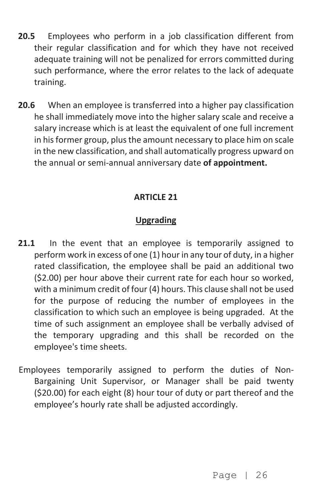- **20.5** Employees who perform in a job classification different from their regular classification and for which they have not received adequate training will not be penalized for errors committed during such performance, where the error relates to the lack of adequate training.
- **20.6** When an employee is transferred into a higher pay classification he shall immediately move into the higher salary scale and receive a salary increase which is at least the equivalent of one full increment in his former group, plus the amount necessary to place him on scale in the new classification, and shall automatically progress upward on the annual or semi-annual anniversary date **of appointment.**

#### **Upgrading**

- **21.1** In the event that an employee is temporarily assigned to perform work in excess of one (1) hour in any tour of duty, in a higher rated classification, the employee shall be paid an additional two (\$2.00) per hour above their current rate for each hour so worked, with a minimum credit of four (4) hours. This clause shall not be used for the purpose of reducing the number of employees in the classification to which such an employee is being upgraded. At the time of such assignment an employee shall be verbally advised of the temporary upgrading and this shall be recorded on the employee's time sheets.
- Employees temporarily assigned to perform the duties of Non-Bargaining Unit Supervisor, or Manager shall be paid twenty (\$20.00) for each eight (8) hour tour of duty or part thereof and the employee's hourly rate shall be adjusted accordingly.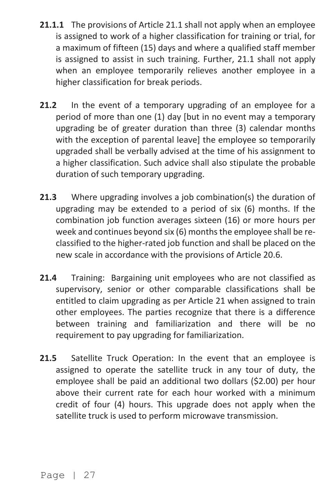- **21.1.1** The provisions of Article 21.1 shall not apply when an employee is assigned to work of a higher classification for training or trial, for a maximum of fifteen (15) days and where a qualified staff member is assigned to assist in such training. Further, 21.1 shall not apply when an employee temporarily relieves another employee in a higher classification for break periods.
- **21.2** In the event of a temporary upgrading of an employee for a period of more than one (1) day [but in no event may a temporary upgrading be of greater duration than three (3) calendar months with the exception of parental leave] the employee so temporarily upgraded shall be verbally advised at the time of his assignment to a higher classification. Such advice shall also stipulate the probable duration of such temporary upgrading.
- **21.3** Where upgrading involves a job combination(s) the duration of upgrading may be extended to a period of six (6) months. If the combination job function averages sixteen (16) or more hours per week and continues beyond six (6) months the employee shall be reclassified to the higher-rated job function and shall be placed on the new scale in accordance with the provisions of Article 20.6.
- **21.4** Training: Bargaining unit employees who are not classified as supervisory, senior or other comparable classifications shall be entitled to claim upgrading as per Article 21 when assigned to train other employees. The parties recognize that there is a difference between training and familiarization and there will be no requirement to pay upgrading for familiarization.
- **21.5** Satellite Truck Operation: In the event that an employee is assigned to operate the satellite truck in any tour of duty, the employee shall be paid an additional two dollars (\$2.00) per hour above their current rate for each hour worked with a minimum credit of four (4) hours. This upgrade does not apply when the satellite truck is used to perform microwave transmission.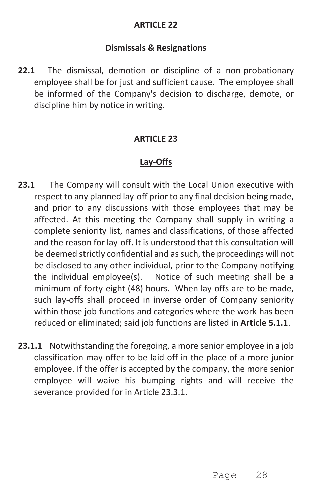## **Dismissals & Resignations**

**22.1** The dismissal, demotion or discipline of a non-probationary employee shall be for just and sufficient cause. The employee shall be informed of the Company's decision to discharge, demote, or discipline him by notice in writing.

### **ARTICLE 23**

## **Lay-Offs**

- **23.1** The Company will consult with the Local Union executive with respect to any planned lay-off prior to any final decision being made, and prior to any discussions with those employees that may be affected. At this meeting the Company shall supply in writing a complete seniority list, names and classifications, of those affected and the reason for lay-off. It is understood that this consultation will be deemed strictly confidential and as such, the proceedings will not be disclosed to any other individual, prior to the Company notifying the individual employee(s). Notice of such meeting shall be a minimum of forty-eight (48) hours. When lay-offs are to be made, such lay-offs shall proceed in inverse order of Company seniority within those job functions and categories where the work has been reduced or eliminated; said job functions are listed in **Article 5.1.1**.
- **23.1.1** Notwithstanding the foregoing, a more senior employee in a job classification may offer to be laid off in the place of a more junior employee. If the offer is accepted by the company, the more senior employee will waive his bumping rights and will receive the severance provided for in Article 23.3.1.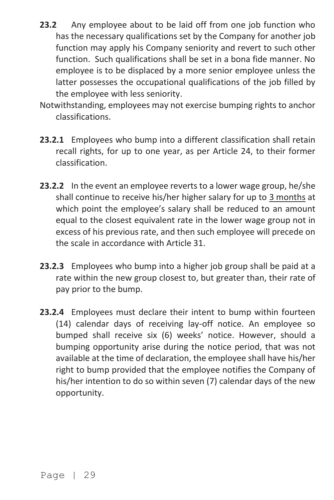- **23.2** Any employee about to be laid off from one job function who has the necessary qualifications set by the Company for another job function may apply his Company seniority and revert to such other function. Such qualifications shall be set in a bona fide manner. No employee is to be displaced by a more senior employee unless the latter possesses the occupational qualifications of the job filled by the employee with less seniority.
- Notwithstanding, employees may not exercise bumping rights to anchor classifications.
- **23.2.1** Employees who bump into a different classification shall retain recall rights, for up to one year, as per Article 24, to their former classification.
- **23.2.2** In the event an employee reverts to a lower wage group, he/she shall continue to receive his/her higher salary for up to 3 months at which point the employee's salary shall be reduced to an amount equal to the closest equivalent rate in the lower wage group not in excess of his previous rate, and then such employee will precede on the scale in accordance with Article 31.
- **23.2.3** Employees who bump into a higher job group shall be paid at a rate within the new group closest to, but greater than, their rate of pay prior to the bump.
- **23.2.4** Employees must declare their intent to bump within fourteen (14) calendar days of receiving lay-off notice. An employee so bumped shall receive six (6) weeks' notice. However, should a bumping opportunity arise during the notice period, that was not available at the time of declaration, the employee shall have his/her right to bump provided that the employee notifies the Company of his/her intention to do so within seven (7) calendar days of the new opportunity.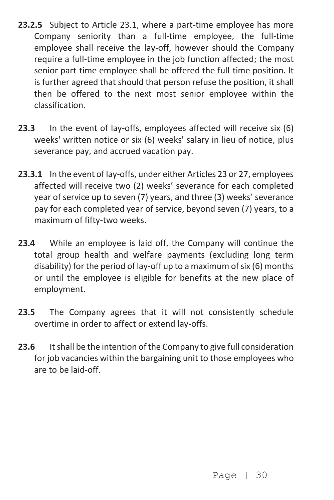- **23.2.5** Subject to Article 23.1, where a part-time employee has more Company seniority than a full-time employee, the full-time employee shall receive the lay-off, however should the Company require a full-time employee in the job function affected; the most senior part-time employee shall be offered the full-time position. It is further agreed that should that person refuse the position, it shall then be offered to the next most senior employee within the classification.
- **23.3** In the event of lay-offs, employees affected will receive six (6) weeks' written notice or six (6) weeks' salary in lieu of notice, plus severance pay, and accrued vacation pay.
- **23.3.1** In the event of lay-offs, under either Articles 23 or 27, employees affected will receive two (2) weeks' severance for each completed year of service up to seven (7) years, and three (3) weeks' severance pay for each completed year of service, beyond seven (7) years, to a maximum of fifty-two weeks.
- **23.4** While an employee is laid off, the Company will continue the total group health and welfare payments (excluding long term disability) for the period of lay-off up to a maximum of six (6) months or until the employee is eligible for benefits at the new place of employment.
- **23.5** The Company agrees that it will not consistently schedule overtime in order to affect or extend lay-offs.
- **23.6** It shall be the intention of the Company to give full consideration for job vacancies within the bargaining unit to those employees who are to be laid-off.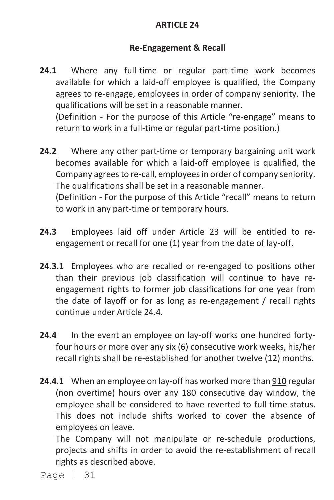#### **Re-Engagement & Recall**

**24.1** Where any full-time or regular part-time work becomes available for which a laid-off employee is qualified, the Company agrees to re-engage, employees in order of company seniority. The qualifications will be set in a reasonable manner.

(Definition - For the purpose of this Article "re-engage" means to return to work in a full-time or regular part-time position.)

**24.2** Where any other part-time or temporary bargaining unit work becomes available for which a laid-off employee is qualified, the Company agrees to re-call, employees in order of company seniority. The qualifications shall be set in a reasonable manner.

(Definition - For the purpose of this Article "recall" means to return to work in any part-time or temporary hours.

- **24.3** Employees laid off under Article 23 will be entitled to reengagement or recall for one (1) year from the date of lay-off.
- **24.3.1** Employees who are recalled or re-engaged to positions other than their previous job classification will continue to have reengagement rights to former job classifications for one year from the date of layoff or for as long as re-engagement / recall rights continue under Article 24.4.
- **24.4** In the event an employee on lay-off works one hundred fortyfour hours or more over any six (6) consecutive work weeks, his/her recall rights shall be re-established for another twelve (12) months.
- **24.4.1** When an employee on lay-off has worked more than 910 regular (non overtime) hours over any 180 consecutive day window, the employee shall be considered to have reverted to full-time status. This does not include shifts worked to cover the absence of employees on leave.

The Company will not manipulate or re-schedule productions, projects and shifts in order to avoid the re-establishment of recall rights as described above.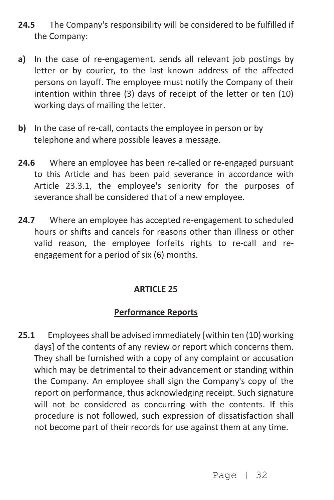- **24.5** The Company's responsibility will be considered to be fulfilled if the Company:
- **a)** In the case of re-engagement, sends all relevant job postings by letter or by courier, to the last known address of the affected persons on layoff. The employee must notify the Company of their intention within three (3) days of receipt of the letter or ten (10) working days of mailing the letter.
- **b)** In the case of re-call, contacts the employee in person or by telephone and where possible leaves a message.
- **24.6** Where an employee has been re-called or re-engaged pursuant to this Article and has been paid severance in accordance with Article 23.3.1, the employee's seniority for the purposes of severance shall be considered that of a new employee.
- **24.7** Where an employee has accepted re-engagement to scheduled hours or shifts and cancels for reasons other than illness or other valid reason, the employee forfeits rights to re-call and reengagement for a period of six (6) months.

## **Performance Reports**

**25.1** Employees shall be advised immediately [within ten (10) working days] of the contents of any review or report which concerns them. They shall be furnished with a copy of any complaint or accusation which may be detrimental to their advancement or standing within the Company. An employee shall sign the Company's copy of the report on performance, thus acknowledging receipt. Such signature will not be considered as concurring with the contents. If this procedure is not followed, such expression of dissatisfaction shall not become part of their records for use against them at any time.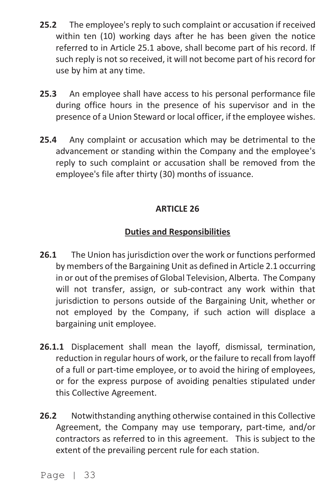- **25.2** The employee's reply to such complaint or accusation if received within ten (10) working days after he has been given the notice referred to in Article 25.1 above, shall become part of his record. If such reply is not so received, it will not become part of his record for use by him at any time.
- **25.3** An employee shall have access to his personal performance file during office hours in the presence of his supervisor and in the presence of a Union Steward or local officer, if the employee wishes.
- **25.4** Any complaint or accusation which may be detrimental to the advancement or standing within the Company and the employee's reply to such complaint or accusation shall be removed from the employee's file after thirty (30) months of issuance.

### **Duties and Responsibilities**

- **26.1** The Union has jurisdiction over the work or functions performed by members of the Bargaining Unit as defined in Article 2.1 occurring in or out of the premises of Global Television, Alberta. The Company will not transfer, assign, or sub-contract any work within that jurisdiction to persons outside of the Bargaining Unit, whether or not employed by the Company, if such action will displace a bargaining unit employee.
- **26.1.1** Displacement shall mean the layoff, dismissal, termination, reduction in regular hours of work, or the failure to recall from layoff of a full or part-time employee, or to avoid the hiring of employees, or for the express purpose of avoiding penalties stipulated under this Collective Agreement.
- **26.2** Notwithstanding anything otherwise contained in this Collective Agreement, the Company may use temporary, part-time, and/or contractors as referred to in this agreement. This is subject to the extent of the prevailing percent rule for each station.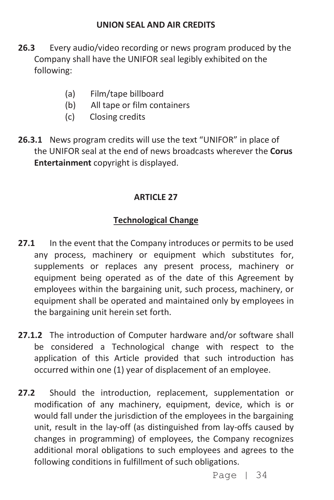- **26.3** Every audio/video recording or news program produced by the Company shall have the UNIFOR seal legibly exhibited on the following:
	- (a) Film/tape billboard
	- (b) All tape or film containers
	- (c) Closing credits
- **26.3.1** News program credits will use the text "UNIFOR" in place of the UNIFOR seal at the end of news broadcasts wherever the **Corus Entertainment** copyright is displayed.

## **Technological Change**

- **27.1** In the event that the Company introduces or permits to be used any process, machinery or equipment which substitutes for, supplements or replaces any present process, machinery or equipment being operated as of the date of this Agreement by employees within the bargaining unit, such process, machinery, or equipment shall be operated and maintained only by employees in the bargaining unit herein set forth.
- **27.1.2** The introduction of Computer hardware and/or software shall be considered a Technological change with respect to the application of this Article provided that such introduction has occurred within one (1) year of displacement of an employee.
- **27.2** Should the introduction, replacement, supplementation or modification of any machinery, equipment, device, which is or would fall under the jurisdiction of the employees in the bargaining unit, result in the lay-off (as distinguished from lay-offs caused by changes in programming) of employees, the Company recognizes additional moral obligations to such employees and agrees to the following conditions in fulfillment of such obligations.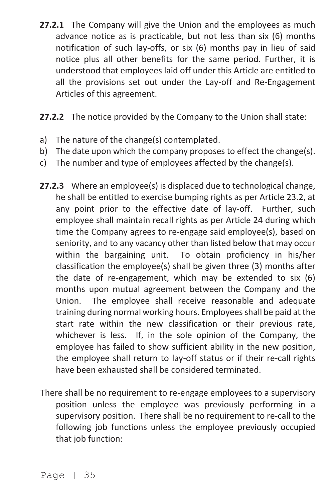- **27.2.1** The Company will give the Union and the employees as much advance notice as is practicable, but not less than six (6) months notification of such lay-offs, or six (6) months pay in lieu of said notice plus all other benefits for the same period. Further, it is understood that employees laid off under this Article are entitled to all the provisions set out under the Lay-off and Re-Engagement Articles of this agreement.
- **27.2.2** The notice provided by the Company to the Union shall state:
- a) The nature of the change(s) contemplated.
- b) The date upon which the company proposes to effect the change(s).
- c) The number and type of employees affected by the change(s).
- **27.2.3** Where an employee(s) is displaced due to technological change, he shall be entitled to exercise bumping rights as per Article 23.2, at any point prior to the effective date of lay-off. Further, such employee shall maintain recall rights as per Article 24 during which time the Company agrees to re-engage said employee(s), based on seniority, and to any vacancy other than listed below that may occur within the bargaining unit. To obtain proficiency in his/her classification the employee(s) shall be given three (3) months after the date of re-engagement, which may be extended to six (6) months upon mutual agreement between the Company and the Union. The employee shall receive reasonable and adequate training during normal working hours. Employees shall be paid at the start rate within the new classification or their previous rate, whichever is less. If, in the sole opinion of the Company, the employee has failed to show sufficient ability in the new position, the employee shall return to lay-off status or if their re-call rights have been exhausted shall be considered terminated.
- There shall be no requirement to re-engage employees to a supervisory position unless the employee was previously performing in a supervisory position. There shall be no requirement to re-call to the following job functions unless the employee previously occupied that job function: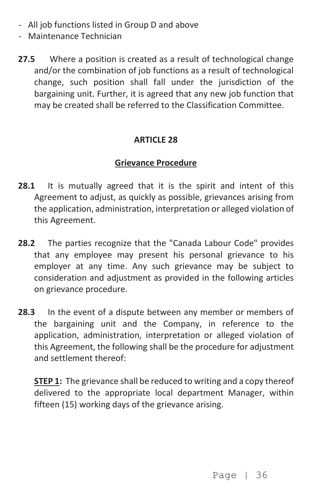- All job functions listed in Group D and above
- Maintenance Technician
- **27.5** Where a position is created as a result of technological change and/or the combination of job functions as a result of technological change, such position shall fall under the jurisdiction of the bargaining unit. Further, it is agreed that any new job function that may be created shall be referred to the Classification Committee.

# **Grievance Procedure**

- **28.1** It is mutually agreed that it is the spirit and intent of this Agreement to adjust, as quickly as possible, grievances arising from the application, administration, interpretation or alleged violation of this Agreement.
- **28.2** The parties recognize that the "Canada Labour Code" provides that any employee may present his personal grievance to his employer at any time. Any such grievance may be subject to consideration and adjustment as provided in the following articles on grievance procedure.
- **28.3** In the event of a dispute between any member or members of the bargaining unit and the Company, in reference to the application, administration, interpretation or alleged violation of this Agreement, the following shall be the procedure for adjustment and settlement thereof:

**STEP 1:** The grievance shall be reduced to writing and a copy thereof delivered to the appropriate local department Manager, within fifteen (15) working days of the grievance arising.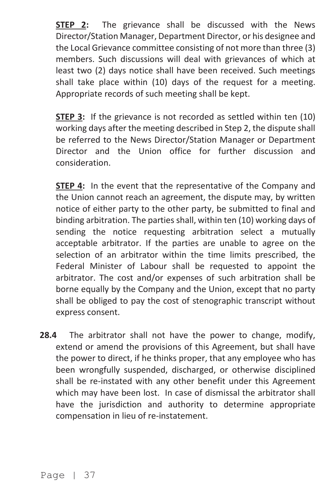**STEP 2:** The grievance shall be discussed with the News Director/Station Manager, Department Director, or his designee and the Local Grievance committee consisting of not more than three (3) members. Such discussions will deal with grievances of which at least two (2) days notice shall have been received. Such meetings shall take place within (10) days of the request for a meeting. Appropriate records of such meeting shall be kept.

**STEP 3:** If the grievance is not recorded as settled within ten (10) working days after the meeting described in Step 2, the dispute shall be referred to the News Director/Station Manager or Department Director and the Union office for further discussion and consideration.

**STEP 4:** In the event that the representative of the Company and the Union cannot reach an agreement, the dispute may, by written notice of either party to the other party, be submitted to final and binding arbitration. The parties shall, within ten (10) working days of sending the notice requesting arbitration select a mutually acceptable arbitrator. If the parties are unable to agree on the selection of an arbitrator within the time limits prescribed, the Federal Minister of Labour shall be requested to appoint the arbitrator. The cost and/or expenses of such arbitration shall be borne equally by the Company and the Union, except that no party shall be obliged to pay the cost of stenographic transcript without express consent.

**28.4** The arbitrator shall not have the power to change, modify, extend or amend the provisions of this Agreement, but shall have the power to direct, if he thinks proper, that any employee who has been wrongfully suspended, discharged, or otherwise disciplined shall be re-instated with any other benefit under this Agreement which may have been lost. In case of dismissal the arbitrator shall have the jurisdiction and authority to determine appropriate compensation in lieu of re-instatement.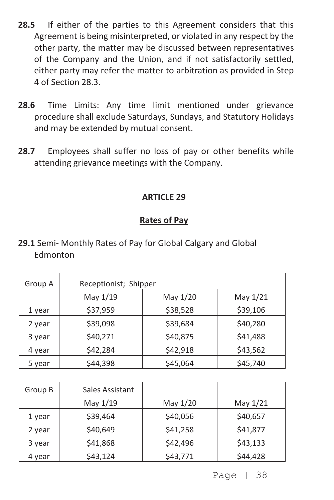- **28.5** If either of the parties to this Agreement considers that this Agreement is being misinterpreted, or violated in any respect by the other party, the matter may be discussed between representatives of the Company and the Union, and if not satisfactorily settled, either party may refer the matter to arbitration as provided in Step 4 of Section 28.3.
- **28.6** Time Limits: Any time limit mentioned under grievance procedure shall exclude Saturdays, Sundays, and Statutory Holidays and may be extended by mutual consent.
- **28.7** Employees shall suffer no loss of pay or other benefits while attending grievance meetings with the Company.

# **Rates of Pay**

| 29.1 Semi- Monthly Rates of Pay for Global Calgary and Global |  |
|---------------------------------------------------------------|--|
| Edmonton                                                      |  |

| Group A | Receptionist; Shipper |          |          |
|---------|-----------------------|----------|----------|
|         | May 1/19              | May 1/20 | May 1/21 |
| 1 year  | \$37,959              | \$38,528 | \$39,106 |
| 2 year  | \$39,098              | \$39,684 | \$40,280 |
| 3 year  | \$40,271              | \$40,875 | \$41,488 |
| 4 year  | \$42,284              | \$42,918 | \$43,562 |
| 5 year  | \$44,398              | \$45,064 | \$45,740 |

| Group B | Sales Assistant |          |          |
|---------|-----------------|----------|----------|
|         | May 1/19        | May 1/20 | May 1/21 |
| 1 year  | \$39,464        | \$40,056 | \$40,657 |
| 2 year  | \$40,649        | \$41,258 | \$41,877 |
| 3 year  | \$41,868        | \$42,496 | \$43,133 |
| 4 year  | \$43,124        | \$43,771 | \$44,428 |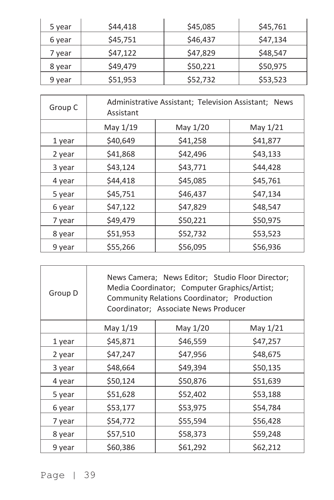| 5 year | \$44,418 | \$45,085 | \$45,761 |
|--------|----------|----------|----------|
| 6 year | \$45,751 | \$46,437 | \$47,134 |
| 7 year | \$47,122 | \$47,829 | \$48,547 |
| 8 year | \$49,479 | \$50,221 | \$50,975 |
| 9 year | \$51,953 | \$52,732 | \$53,523 |

| Group C | Assistant | Administrative Assistant; Television Assistant; | <b>News</b> |
|---------|-----------|-------------------------------------------------|-------------|
|         | May 1/19  | May 1/20                                        | May 1/21    |
| 1 year  | \$40,649  | \$41,258                                        | \$41,877    |
| 2 year  | \$41,868  | \$42,496                                        | \$43,133    |
| 3 year  | \$43,124  | \$43,771                                        | \$44,428    |
| 4 year  | \$44,418  | \$45.085                                        | \$45,761    |
| 5 year  | \$45,751  | \$46,437                                        | \$47,134    |
| 6 year  | \$47,122  | \$47,829                                        | \$48,547    |
| 7 year  | \$49,479  | \$50,221                                        | \$50,975    |
| 8 year  | \$51,953  | \$52,732                                        | \$53,523    |
| 9 year  | \$55.266  | \$56.095                                        | \$56,936    |

| Group D |          | News Camera; News Editor; Studio Floor Director;<br>Media Coordinator; Computer Graphics/Artist;<br>Community Relations Coordinator; Production<br>Coordinator; Associate News Producer |          |
|---------|----------|-----------------------------------------------------------------------------------------------------------------------------------------------------------------------------------------|----------|
|         | May 1/19 | May 1/20                                                                                                                                                                                | May 1/21 |
| 1 year  | \$45,871 | \$46,559                                                                                                                                                                                | \$47,257 |
| 2 year  | \$47,247 | \$47,956                                                                                                                                                                                | \$48,675 |
| 3 year  | \$48,664 | \$49,394                                                                                                                                                                                | \$50,135 |
| 4 year  | \$50,124 | \$50,876                                                                                                                                                                                | \$51,639 |
| 5 year  | \$51,628 | \$52,402                                                                                                                                                                                | \$53,188 |
| 6 year  | \$53,177 | \$53,975                                                                                                                                                                                | \$54,784 |
| 7 year  | \$54,772 | \$55,594                                                                                                                                                                                | \$56,428 |
| 8 year  | \$57,510 | \$58,373                                                                                                                                                                                | \$59,248 |
| 9 year  | \$60,386 | \$61,292                                                                                                                                                                                | \$62,212 |

Page | 39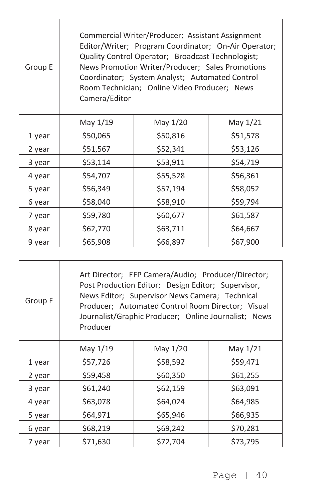| Group E | Commercial Writer/Producer; Assistant Assignment<br>Editor/Writer; Program Coordinator; On-Air Operator;<br>Quality Control Operator; Broadcast Technologist;<br>News Promotion Writer/Producer; Sales Promotions<br>Coordinator; System Analyst; Automated Control<br>Room Technician; Online Video Producer; News<br>Camera/Editor |          |          |  |
|---------|--------------------------------------------------------------------------------------------------------------------------------------------------------------------------------------------------------------------------------------------------------------------------------------------------------------------------------------|----------|----------|--|
|         | May 1/19                                                                                                                                                                                                                                                                                                                             | May 1/20 | May 1/21 |  |
| 1 year  | \$50,065                                                                                                                                                                                                                                                                                                                             | \$50,816 | \$51,578 |  |
| 2 year  | \$51,567                                                                                                                                                                                                                                                                                                                             | \$52,341 | \$53,126 |  |
| 3 year  | \$53,114                                                                                                                                                                                                                                                                                                                             | \$53,911 | \$54,719 |  |
| 4 year  | \$54,707                                                                                                                                                                                                                                                                                                                             | \$55,528 | \$56,361 |  |
| 5 year  | \$56,349                                                                                                                                                                                                                                                                                                                             | \$57,194 | \$58,052 |  |
| 6 year  | \$58,040                                                                                                                                                                                                                                                                                                                             | \$58,910 | \$59,794 |  |
| 7 year  | \$59,780                                                                                                                                                                                                                                                                                                                             | \$60,677 | \$61,587 |  |
| 8 year  | \$62,770                                                                                                                                                                                                                                                                                                                             | \$63,711 | \$64,667 |  |
| 9 year  | \$65,908                                                                                                                                                                                                                                                                                                                             | \$66,897 | \$67,900 |  |

| Group F | Producer | Art Director; EFP Camera/Audio; Producer/Director;<br>Post Production Editor; Design Editor; Supervisor,<br>News Editor; Supervisor News Camera; Technical<br>Producer; Automated Control Room Director; Visual<br>Journalist/Graphic Producer; Online Journalist; News |          |
|---------|----------|-------------------------------------------------------------------------------------------------------------------------------------------------------------------------------------------------------------------------------------------------------------------------|----------|
|         | May 1/19 | May 1/20                                                                                                                                                                                                                                                                | May 1/21 |
| 1 year  | \$57,726 | \$58,592                                                                                                                                                                                                                                                                | \$59,471 |
| 2 year  | \$59,458 | \$60,350                                                                                                                                                                                                                                                                | \$61,255 |
| 3 year  | \$61,240 | \$62,159                                                                                                                                                                                                                                                                | \$63,091 |
| 4 year  | \$63,078 | \$64,024                                                                                                                                                                                                                                                                | \$64,985 |
| 5 year  | \$64,971 | \$65,946                                                                                                                                                                                                                                                                | \$66,935 |
| 6 year  | \$68,219 | \$69,242                                                                                                                                                                                                                                                                | \$70,281 |
| 7 year  | \$71,630 | \$72,704                                                                                                                                                                                                                                                                | \$73,795 |

٦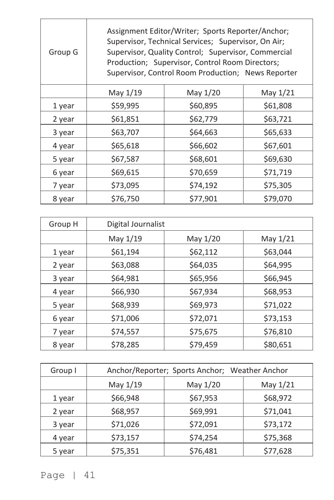| Group G | Assignment Editor/Writer; Sports Reporter/Anchor;<br>Supervisor, Technical Services; Supervisor, On Air;<br>Supervisor, Quality Control; Supervisor, Commercial<br>Production; Supervisor, Control Room Directors;<br>Supervisor, Control Room Production; News Reporter |          |          |
|---------|--------------------------------------------------------------------------------------------------------------------------------------------------------------------------------------------------------------------------------------------------------------------------|----------|----------|
|         | May 1/19                                                                                                                                                                                                                                                                 | May 1/20 | May 1/21 |
| 1 year  | \$59,995                                                                                                                                                                                                                                                                 | \$60,895 | \$61,808 |
| 2 year  | \$61,851                                                                                                                                                                                                                                                                 | \$62,779 | \$63,721 |
| 3 year  | \$63,707                                                                                                                                                                                                                                                                 | \$64,663 | \$65,633 |
| 4 year  | \$65,618                                                                                                                                                                                                                                                                 | \$66,602 | \$67,601 |
| 5 year  | \$67,587                                                                                                                                                                                                                                                                 | \$68,601 | \$69,630 |
| 6 year  | \$69,615                                                                                                                                                                                                                                                                 | \$70,659 | \$71,719 |
| 7 year  | \$73,095                                                                                                                                                                                                                                                                 | \$74,192 | \$75,305 |
| 8 year  | \$76,750                                                                                                                                                                                                                                                                 | \$77,901 | \$79,070 |

| Group H | Digital Journalist |          |          |
|---------|--------------------|----------|----------|
|         | May 1/19           | May 1/20 | May 1/21 |
| 1 year  | \$61,194           | \$62,112 | \$63,044 |
| 2 year  | \$63,088           | \$64,035 | \$64,995 |
| 3 year  | \$64,981           | \$65,956 | \$66,945 |
| 4 year  | \$66,930           | \$67,934 | \$68,953 |
| 5 year  | \$68,939           | \$69,973 | \$71,022 |
| 6 year  | \$71,006           | \$72,071 | \$73,153 |
| 7 year  | \$74,557           | \$75,675 | \$76,810 |
| 8 year  | \$78,285           | \$79,459 | \$80,651 |

| Group I | Anchor/Reporter; Sports Anchor; Weather Anchor |          |          |
|---------|------------------------------------------------|----------|----------|
|         | May 1/19                                       | May 1/20 | May 1/21 |
| 1 year  | \$66,948                                       | \$67,953 | \$68,972 |
| 2 year  | \$68,957                                       | \$69,991 | \$71,041 |
| 3 year  | \$71,026                                       | \$72,091 | \$73,172 |
| 4 year  | \$73,157                                       | \$74,254 | \$75,368 |
| 5 year  | \$75,351                                       | \$76,481 | \$77,628 |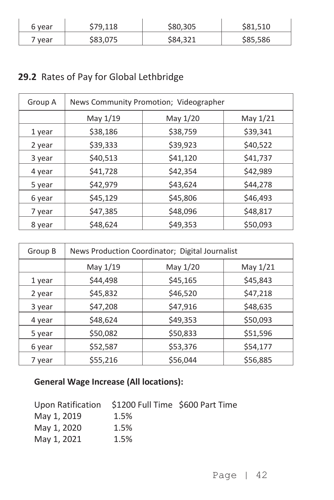| 6 vear | \$79.118 | \$80.305 | \$81.510 |
|--------|----------|----------|----------|
| ' vear | 383.075  | \$84.321 | \$85,586 |

# **29.2** Rates of Pay for Global Lethbridge

| Group A | News Community Promotion; Videographer |          |          |
|---------|----------------------------------------|----------|----------|
|         | May 1/19                               | May 1/20 | May 1/21 |
| 1 year  | \$38,186                               | \$38,759 | \$39,341 |
| 2 year  | \$39,333                               | \$39,923 | \$40,522 |
| 3 year  | \$40,513                               | \$41,120 | \$41,737 |
| 4 year  | \$41,728                               | \$42,354 | \$42,989 |
| 5 year  | \$42,979                               | \$43,624 | \$44,278 |
| 6 year  | \$45,129                               | \$45,806 | \$46,493 |
| 7 year  | \$47,385                               | \$48,096 | \$48,817 |
| 8 year  | \$48,624                               | \$49,353 | \$50,093 |

| Group B | News Production Coordinator; Digital Journalist |          |          |
|---------|-------------------------------------------------|----------|----------|
|         | May 1/19                                        | May 1/20 | May 1/21 |
| 1 year  | \$44,498                                        | \$45,165 | \$45,843 |
| 2 year  | \$45,832                                        | \$46,520 | \$47,218 |
| 3 year  | \$47,208                                        | \$47,916 | \$48,635 |
| 4 year  | \$48,624                                        | \$49,353 | \$50,093 |
| 5 year  | \$50,082                                        | \$50,833 | \$51,596 |
| 6 year  | \$52,587                                        | \$53,376 | \$54,177 |
| 7 year  | \$55,216                                        | \$56,044 | \$56,885 |

# **General Wage Increase (All locations):**

| Upon Ratification | \$1200 Full Time \$600 Part Time |  |
|-------------------|----------------------------------|--|
| May 1, 2019       | 1.5%                             |  |
| May 1, 2020       | 1.5%                             |  |
| May 1, 2021       | 1.5%                             |  |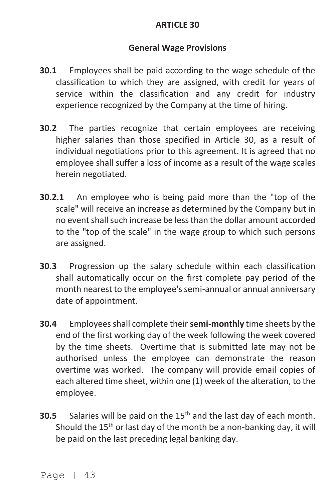# **General Wage Provisions**

- **30.1** Employees shall be paid according to the wage schedule of the classification to which they are assigned, with credit for years of service within the classification and any credit for industry experience recognized by the Company at the time of hiring.
- **30.2** The parties recognize that certain employees are receiving higher salaries than those specified in Article 30, as a result of individual negotiations prior to this agreement. It is agreed that no employee shall suffer a loss of income as a result of the wage scales herein negotiated.
- **30.2.1** An employee who is being paid more than the "top of the scale" will receive an increase as determined by the Company but in no event shall such increase be less than the dollar amount accorded to the "top of the scale" in the wage group to which such persons are assigned.
- **30.3** Progression up the salary schedule within each classification shall automatically occur on the first complete pay period of the month nearest to the employee's semi-annual or annual anniversary date of appointment.
- **30.4** Employees shall complete their **semi-monthly** time sheets by the end of the first working day of the week following the week covered by the time sheets. Overtime that is submitted late may not be authorised unless the employee can demonstrate the reason overtime was worked. The company will provide email copies of each altered time sheet, within one (1) week of the alteration, to the employee.
- **30.5** Salaries will be paid on the 15<sup>th</sup> and the last day of each month. Should the 15<sup>th</sup> or last day of the month be a non-banking day, it will be paid on the last preceding legal banking day.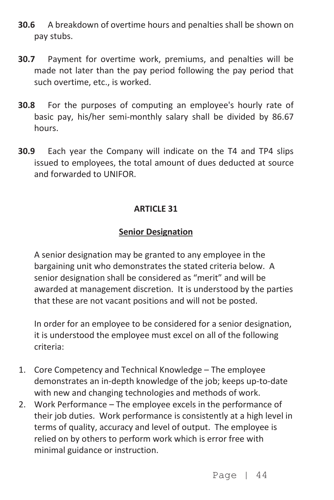- **30.6** A breakdown of overtime hours and penalties shall be shown on pay stubs.
- **30.7** Payment for overtime work, premiums, and penalties will be made not later than the pay period following the pay period that such overtime, etc., is worked.
- **30.8** For the purposes of computing an employee's hourly rate of basic pay, his/her semi-monthly salary shall be divided by 86.67 hours.
- **30.9** Each year the Company will indicate on the T4 and TP4 slips issued to employees, the total amount of dues deducted at source and forwarded to UNIFOR.

# **Senior Designation**

 A senior designation may be granted to any employee in the bargaining unit who demonstrates the stated criteria below. A senior designation shall be considered as "merit" and will be awarded at management discretion. It is understood by the parties that these are not vacant positions and will not be posted.

 In order for an employee to be considered for a senior designation, it is understood the employee must excel on all of the following criteria:

- 1. Core Competency and Technical Knowledge The employee demonstrates an in-depth knowledge of the job; keeps up-to-date with new and changing technologies and methods of work.
- 2. Work Performance The employee excels in the performance of their job duties. Work performance is consistently at a high level in terms of quality, accuracy and level of output. The employee is relied on by others to perform work which is error free with minimal guidance or instruction.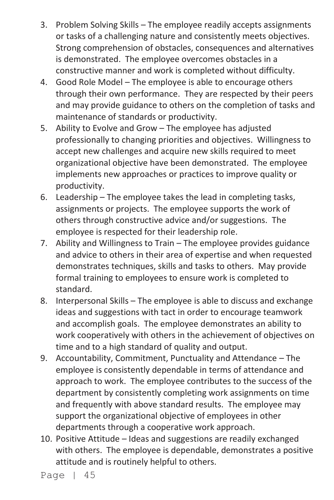- 3. Problem Solving Skills The employee readily accepts assignments or tasks of a challenging nature and consistently meets objectives. Strong comprehension of obstacles, consequences and alternatives is demonstrated. The employee overcomes obstacles in a constructive manner and work is completed without difficulty.
- 4. Good Role Model The employee is able to encourage others through their own performance. They are respected by their peers and may provide guidance to others on the completion of tasks and maintenance of standards or productivity.
- 5. Ability to Evolve and Grow The employee has adjusted professionally to changing priorities and objectives. Willingness to accept new challenges and acquire new skills required to meet organizational objective have been demonstrated. The employee implements new approaches or practices to improve quality or productivity.
- 6. Leadership The employee takes the lead in completing tasks, assignments or projects. The employee supports the work of others through constructive advice and/or suggestions. The employee is respected for their leadership role.
- 7. Ability and Willingness to Train The employee provides guidance and advice to others in their area of expertise and when requested demonstrates techniques, skills and tasks to others. May provide formal training to employees to ensure work is completed to standard.
- 8. Interpersonal Skills The employee is able to discuss and exchange ideas and suggestions with tact in order to encourage teamwork and accomplish goals. The employee demonstrates an ability to work cooperatively with others in the achievement of objectives on time and to a high standard of quality and output.
- 9. Accountability, Commitment, Punctuality and Attendance The employee is consistently dependable in terms of attendance and approach to work. The employee contributes to the success of the department by consistently completing work assignments on time and frequently with above standard results. The employee may support the organizational objective of employees in other departments through a cooperative work approach.
- 10. Positive Attitude Ideas and suggestions are readily exchanged with others. The employee is dependable, demonstrates a positive attitude and is routinely helpful to others.

Page | 45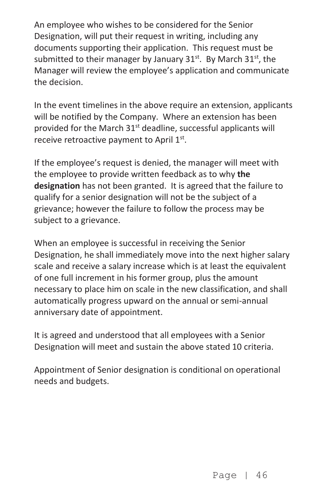An employee who wishes to be considered for the Senior Designation, will put their request in writing, including any documents supporting their application. This request must be submitted to their manager by January  $31<sup>st</sup>$ . By March  $31<sup>st</sup>$ , the Manager will review the employee's application and communicate the decision.

 In the event timelines in the above require an extension, applicants will be notified by the Company. Where an extension has been provided for the March 31<sup>st</sup> deadline, successful applicants will receive retroactive payment to April 1st.

If the employee's request is denied, the manager will meet with the employee to provide written feedback as to why **the designation** has not been granted. It is agreed that the failure to qualify for a senior designation will not be the subject of a grievance; however the failure to follow the process may be subject to a grievance.

 When an employee is successful in receiving the Senior Designation, he shall immediately move into the next higher salary scale and receive a salary increase which is at least the equivalent of one full increment in his former group, plus the amount necessary to place him on scale in the new classification, and shall automatically progress upward on the annual or semi-annual anniversary date of appointment.

 It is agreed and understood that all employees with a Senior Designation will meet and sustain the above stated 10 criteria.

 Appointment of Senior designation is conditional on operational needs and budgets.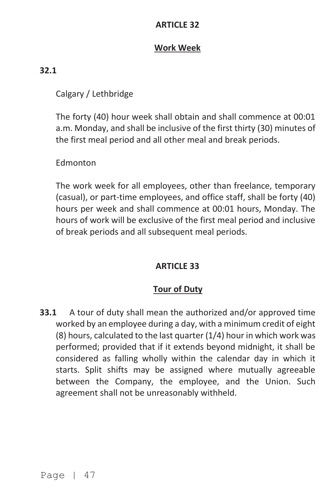# **Work Week**

#### **32.1**

Calgary / Lethbridge

 The forty (40) hour week shall obtain and shall commence at 00:01 a.m. Monday, and shall be inclusive of the first thirty (30) minutes of the first meal period and all other meal and break periods.

Edmonton

 The work week for all employees, other than freelance, temporary (casual), or part-time employees, and office staff, shall be forty (40) hours per week and shall commence at 00:01 hours, Monday. The hours of work will be exclusive of the first meal period and inclusive of break periods and all subsequent meal periods.

# **ARTICLE 33**

# **Tour of Duty**

**33.1** A tour of duty shall mean the authorized and/or approved time worked by an employee during a day, with a minimum credit of eight (8) hours, calculated to the last quarter (1/4) hour in which work was performed; provided that if it extends beyond midnight, it shall be considered as falling wholly within the calendar day in which it starts. Split shifts may be assigned where mutually agreeable between the Company, the employee, and the Union. Such agreement shall not be unreasonably withheld.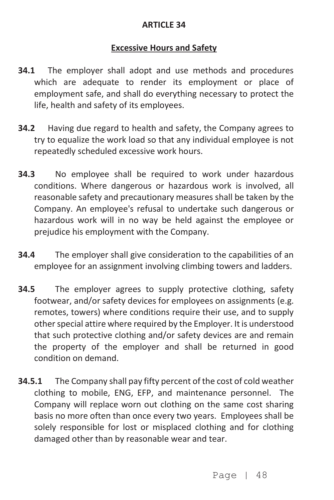#### **Excessive Hours and Safety**

- **34.1** The employer shall adopt and use methods and procedures which are adequate to render its employment or place of employment safe, and shall do everything necessary to protect the life, health and safety of its employees.
- **34.2** Having due regard to health and safety, the Company agrees to try to equalize the work load so that any individual employee is not repeatedly scheduled excessive work hours.
- **34.3** No employee shall be required to work under hazardous conditions. Where dangerous or hazardous work is involved, all reasonable safety and precautionary measures shall be taken by the Company. An employee's refusal to undertake such dangerous or hazardous work will in no way be held against the employee or prejudice his employment with the Company.
- **34.4** The employer shall give consideration to the capabilities of an employee for an assignment involving climbing towers and ladders.
- **34.5** The employer agrees to supply protective clothing, safety footwear, and/or safety devices for employees on assignments (e.g. remotes, towers) where conditions require their use, and to supply other special attire where required by the Employer. It is understood that such protective clothing and/or safety devices are and remain the property of the employer and shall be returned in good condition on demand.
- **34.5.1** The Company shall pay fifty percent of the cost of cold weather clothing to mobile, ENG, EFP, and maintenance personnel. The Company will replace worn out clothing on the same cost sharing basis no more often than once every two years. Employees shall be solely responsible for lost or misplaced clothing and for clothing damaged other than by reasonable wear and tear.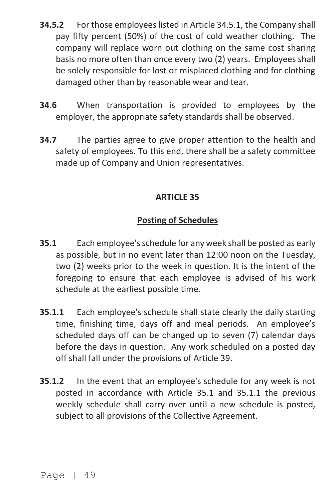- **34.5.2** For those employees listed in Article 34.5.1, the Company shall pay fifty percent (50%) of the cost of cold weather clothing. The company will replace worn out clothing on the same cost sharing basis no more often than once every two (2) years. Employees shall be solely responsible for lost or misplaced clothing and for clothing damaged other than by reasonable wear and tear.
- **34.6** When transportation is provided to employees by the employer, the appropriate safety standards shall be observed.
- **34.7** The parties agree to give proper attention to the health and safety of employees. To this end, there shall be a safety committee made up of Company and Union representatives.

# **Posting of Schedules**

- **35.1** Each employee's schedule for any week shall be posted as early as possible, but in no event later than 12:00 noon on the Tuesday, two (2) weeks prior to the week in question. It is the intent of the foregoing to ensure that each employee is advised of his work schedule at the earliest possible time.
- **35.1.1** Each employee's schedule shall state clearly the daily starting time, finishing time, days off and meal periods. An employee's scheduled days off can be changed up to seven (7) calendar days before the days in question. Any work scheduled on a posted day off shall fall under the provisions of Article 39.
- **35.1.2** In the event that an employee's schedule for any week is not posted in accordance with Article 35.1 and 35.1.1 the previous weekly schedule shall carry over until a new schedule is posted, subject to all provisions of the Collective Agreement.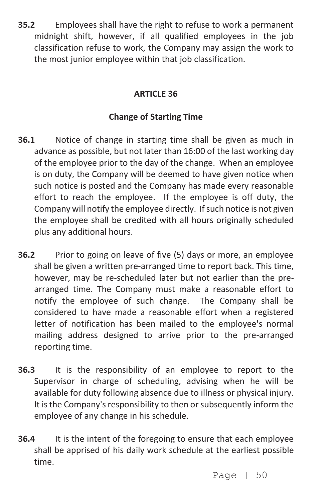**35.2** Employees shall have the right to refuse to work a permanent midnight shift, however, if all qualified employees in the job classification refuse to work, the Company may assign the work to the most junior employee within that job classification.

# **ARTICLE 36**

# **Change of Starting Time**

- **36.1** Notice of change in starting time shall be given as much in advance as possible, but not later than 16:00 of the last working day of the employee prior to the day of the change. When an employee is on duty, the Company will be deemed to have given notice when such notice is posted and the Company has made every reasonable effort to reach the employee. If the employee is off duty, the Company will notify the employee directly. If such notice is not given the employee shall be credited with all hours originally scheduled plus any additional hours.
- **36.2** Prior to going on leave of five (5) days or more, an employee shall be given a written pre-arranged time to report back. This time, however, may be re-scheduled later but not earlier than the prearranged time. The Company must make a reasonable effort to notify the employee of such change. The Company shall be considered to have made a reasonable effort when a registered letter of notification has been mailed to the employee's normal mailing address designed to arrive prior to the pre-arranged reporting time.
- **36.3** It is the responsibility of an employee to report to the Supervisor in charge of scheduling, advising when he will be available for duty following absence due to illness or physical injury. It is the Company's responsibility to then or subsequently inform the employee of any change in his schedule.
- **36.4** It is the intent of the foregoing to ensure that each employee shall be apprised of his daily work schedule at the earliest possible time.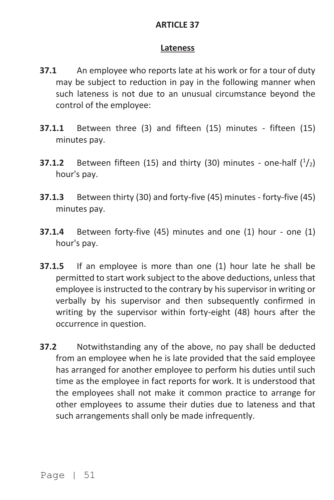#### **Lateness**

- **37.1** An employee who reports late at his work or for a tour of duty may be subject to reduction in pay in the following manner when such lateness is not due to an unusual circumstance beyond the control of the employee:
- **37.1.1** Between three (3) and fifteen (15) minutes fifteen (15) minutes pay.
- **37.1.2** Between fifteen (15) and thirty (30) minutes one-half  $\binom{1}{2}$ hour's pay.
- **37.1.3** Between thirty (30) and forty-five (45) minutes forty-five (45) minutes pay.
- **37.1.4** Between forty-five (45) minutes and one (1) hour one (1) hour's pay.
- **37.1.5** If an employee is more than one (1) hour late he shall be permitted to start work subject to the above deductions, unless that employee is instructed to the contrary by his supervisor in writing or verbally by his supervisor and then subsequently confirmed in writing by the supervisor within forty-eight (48) hours after the occurrence in question.
- **37.2** Notwithstanding any of the above, no pay shall be deducted from an employee when he is late provided that the said employee has arranged for another employee to perform his duties until such time as the employee in fact reports for work. It is understood that the employees shall not make it common practice to arrange for other employees to assume their duties due to lateness and that such arrangements shall only be made infrequently.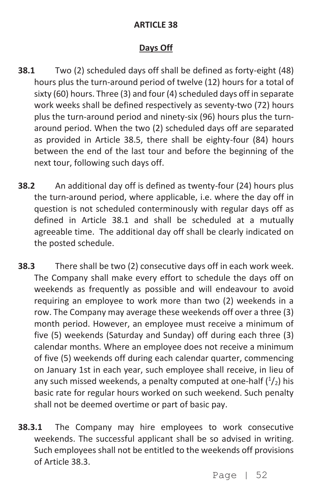# **Days Off**

- **38.1** Two (2) scheduled days off shall be defined as forty-eight (48) hours plus the turn-around period of twelve (12) hours for a total of sixty (60) hours. Three (3) and four (4) scheduled days off in separate work weeks shall be defined respectively as seventy-two (72) hours plus the turn-around period and ninety-six (96) hours plus the turnaround period. When the two (2) scheduled days off are separated as provided in Article 38.5, there shall be eighty-four (84) hours between the end of the last tour and before the beginning of the next tour, following such days off.
- **38.2** An additional day off is defined as twenty-four (24) hours plus the turn-around period, where applicable, i.e. where the day off in question is not scheduled conterminously with regular days off as defined in Article 38.1 and shall be scheduled at a mutually agreeable time. The additional day off shall be clearly indicated on the posted schedule.
- **38.3** There shall be two (2) consecutive days off in each work week. The Company shall make every effort to schedule the days off on weekends as frequently as possible and will endeavour to avoid requiring an employee to work more than two (2) weekends in a row. The Company may average these weekends off over a three (3) month period. However, an employee must receive a minimum of five (5) weekends (Saturday and Sunday) off during each three (3) calendar months. Where an employee does not receive a minimum of five (5) weekends off during each calendar quarter, commencing on January 1st in each year, such employee shall receive, in lieu of any such missed weekends, a penalty computed at one-half  $(1/2)$  his basic rate for regular hours worked on such weekend. Such penalty shall not be deemed overtime or part of basic pay.
- **38.3.1** The Company may hire employees to work consecutive weekends. The successful applicant shall be so advised in writing. Such employees shall not be entitled to the weekends off provisions of Article 38.3.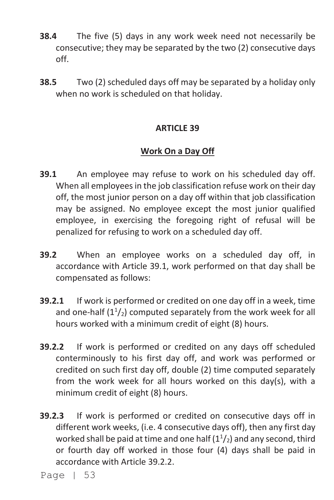- **38.4** The five (5) days in any work week need not necessarily be consecutive; they may be separated by the two (2) consecutive days off.
- **38.5** Two (2) scheduled days off may be separated by a holiday only when no work is scheduled on that holiday.

# **Work On a Day Off**

- **39.1** An employee may refuse to work on his scheduled day off. When all employees in the job classification refuse work on their day off, the most junior person on a day off within that job classification may be assigned. No employee except the most junior qualified employee, in exercising the foregoing right of refusal will be penalized for refusing to work on a scheduled day off.
- **39.2** When an employee works on a scheduled day off, in accordance with Article 39.1, work performed on that day shall be compensated as follows:
- **39.2.1** If work is performed or credited on one day off in a week, time and one-half  $(1^{1}/_{2})$  computed separately from the work week for all hours worked with a minimum credit of eight (8) hours.
- **39.2.2** If work is performed or credited on any days off scheduled conterminously to his first day off, and work was performed or credited on such first day off, double (2) time computed separately from the work week for all hours worked on this day(s), with a minimum credit of eight (8) hours.
- **39.2.3** If work is performed or credited on consecutive days off in different work weeks, (i.e. 4 consecutive days off), then any first day worked shall be paid at time and one half  $(1<sup>1</sup>/2)$  and any second, third or fourth day off worked in those four (4) days shall be paid in accordance with Article 39.2.2.

Page | 53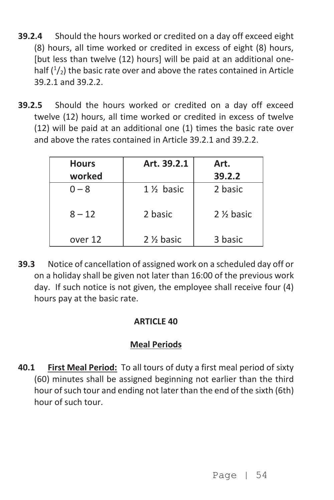- **39.2.4** Should the hours worked or credited on a day off exceed eight (8) hours, all time worked or credited in excess of eight (8) hours, [but less than twelve (12) hours] will be paid at an additional onehalf  $\binom{1}{2}$  the basic rate over and above the rates contained in Article 39.2.1 and 39.2.2.
- **39.2.5** Should the hours worked or credited on a day off exceed twelve (12) hours, all time worked or credited in excess of twelve (12) will be paid at an additional one (1) times the basic rate over and above the rates contained in Article 39.2.1 and 39.2.2.

| <b>Hours</b> | Art. 39.2.1            | Art.      |
|--------------|------------------------|-----------|
| worked       |                        | 39.2.2    |
| $0 - 8$      | 1 % basic              | 2 basic   |
| $8 - 12$     | 2 basic                | 2 % basic |
| over 12      | 2 <sup>1/2</sup> basic | 3 basic   |

**39.3** Notice of cancellation of assigned work on a scheduled day off or on a holiday shall be given not later than 16:00 of the previous work day. If such notice is not given, the employee shall receive four (4) hours pay at the basic rate.

# **ARTICLE 40**

# **Meal Periods**

**40.1 First Meal Period:** To all tours of duty a first meal period of sixty (60) minutes shall be assigned beginning not earlier than the third hour of such tour and ending not later than the end of the sixth (6th) hour of such tour.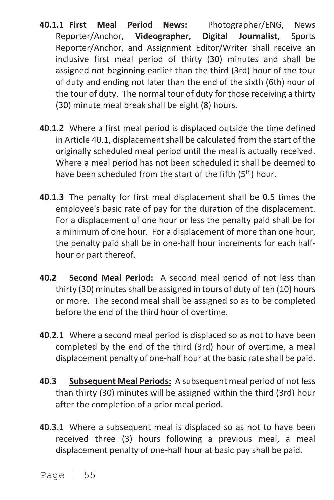- **40.1.1 First Meal Period News:** Photographer/ENG, News Reporter/Anchor, **Videographer, Digital Journalist,** Sports Reporter/Anchor, and Assignment Editor/Writer shall receive an inclusive first meal period of thirty (30) minutes and shall be assigned not beginning earlier than the third (3rd) hour of the tour of duty and ending not later than the end of the sixth (6th) hour of the tour of duty. The normal tour of duty for those receiving a thirty (30) minute meal break shall be eight (8) hours.
- **40.1.2** Where a first meal period is displaced outside the time defined in Article 40.1, displacement shall be calculated from the start of the originally scheduled meal period until the meal is actually received. Where a meal period has not been scheduled it shall be deemed to have been scheduled from the start of the fifth (5<sup>th</sup>) hour.
- **40.1.3** The penalty for first meal displacement shall be 0.5 times the employee's basic rate of pay for the duration of the displacement. For a displacement of one hour or less the penalty paid shall be for a minimum of one hour. For a displacement of more than one hour, the penalty paid shall be in one-half hour increments for each halfhour or part thereof.
- **40.2 Second Meal Period:** A second meal period of not less than thirty (30) minutes shall be assigned in tours of duty of ten (10) hours or more. The second meal shall be assigned so as to be completed before the end of the third hour of overtime.
- **40.2.1** Where a second meal period is displaced so as not to have been completed by the end of the third (3rd) hour of overtime, a meal displacement penalty of one-half hour at the basic rate shall be paid.
- **40.3 Subsequent Meal Periods:** A subsequent meal period of not less than thirty (30) minutes will be assigned within the third (3rd) hour after the completion of a prior meal period.
- **40.3.1** Where a subsequent meal is displaced so as not to have been received three (3) hours following a previous meal, a meal displacement penalty of one-half hour at basic pay shall be paid.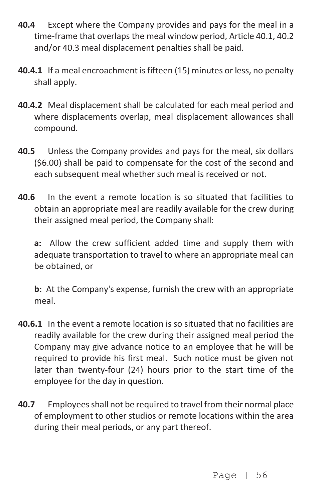- **40.4** Except where the Company provides and pays for the meal in a time-frame that overlaps the meal window period, Article 40.1, 40.2 and/or 40.3 meal displacement penalties shall be paid.
- **40.4.1** If a meal encroachment is fifteen (15) minutes or less, no penalty shall apply.
- **40.4.2** Meal displacement shall be calculated for each meal period and where displacements overlap, meal displacement allowances shall compound.
- **40.5** Unless the Company provides and pays for the meal, six dollars (\$6.00) shall be paid to compensate for the cost of the second and each subsequent meal whether such meal is received or not.
- **40.6** In the event a remote location is so situated that facilities to obtain an appropriate meal are readily available for the crew during their assigned meal period, the Company shall:

 **a:** Allow the crew sufficient added time and supply them with adequate transportation to travel to where an appropriate meal can be obtained, or

 **b:** At the Company's expense, furnish the crew with an appropriate meal.

- **40.6.1** In the event a remote location is so situated that no facilities are readily available for the crew during their assigned meal period the Company may give advance notice to an employee that he will be required to provide his first meal. Such notice must be given not later than twenty-four (24) hours prior to the start time of the employee for the day in question.
- **40.7** Employees shall not be required to travel from their normal place of employment to other studios or remote locations within the area during their meal periods, or any part thereof.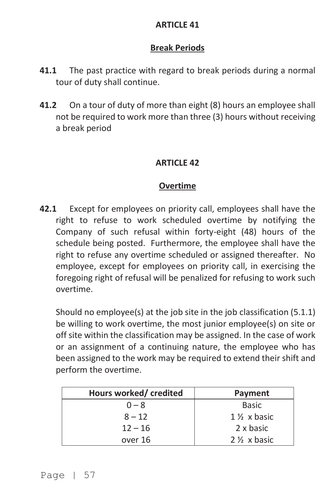### **Break Periods**

- **41.1** The past practice with regard to break periods during a normal tour of duty shall continue.
- **41.2** On a tour of duty of more than eight (8) hours an employee shall not be required to work more than three (3) hours without receiving a break period

#### **ARTICLE 42**

#### **Overtime**

**42.1** Except for employees on priority call, employees shall have the right to refuse to work scheduled overtime by notifying the Company of such refusal within forty-eight (48) hours of the schedule being posted. Furthermore, the employee shall have the right to refuse any overtime scheduled or assigned thereafter. No employee, except for employees on priority call, in exercising the foregoing right of refusal will be penalized for refusing to work such overtime.

 Should no employee(s) at the job site in the job classification (5.1.1) be willing to work overtime, the most junior employee(s) on site or off site within the classification may be assigned. In the case of work or an assignment of a continuing nature, the employee who has been assigned to the work may be required to extend their shift and perform the overtime.

| Hours worked/credited | Payment                |
|-----------------------|------------------------|
| $0 - 8$               | <b>Basic</b>           |
| $8 - 12$              | $1\%$ x basic          |
| $12 - 16$             | 2 x basic              |
| over 16               | $2\frac{1}{2}$ x basic |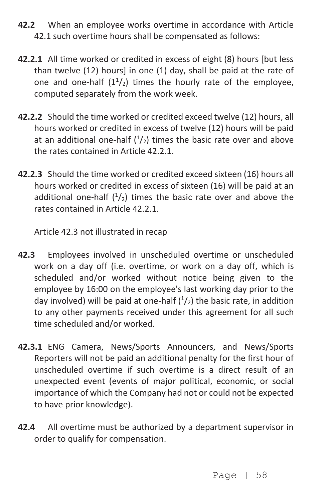- **42.2** When an employee works overtime in accordance with Article 42.1 such overtime hours shall be compensated as follows:
- **42.2.1** All time worked or credited in excess of eight (8) hours [but less than twelve (12) hours] in one (1) day, shall be paid at the rate of one and one-half  $(1<sup>1</sup>/<sub>2</sub>)$  times the hourly rate of the employee, computed separately from the work week.
- **42.2.2** Should the time worked or credited exceed twelve (12) hours, all hours worked or credited in excess of twelve (12) hours will be paid at an additional one-half  $\binom{1}{2}$  times the basic rate over and above the rates contained in Article 42.2.1.
- **42.2.3** Should the time worked or credited exceed sixteen (16) hours all hours worked or credited in excess of sixteen (16) will be paid at an additional one-half  $\binom{1}{2}$  times the basic rate over and above the rates contained in Article 42.2.1.

Article 42.3 not illustrated in recap

- **42.3** Employees involved in unscheduled overtime or unscheduled work on a day off (i.e. overtime, or work on a day off, which is scheduled and/or worked without notice being given to the employee by 16:00 on the employee's last working day prior to the day involved) will be paid at one-half  $(1/2)$  the basic rate, in addition to any other payments received under this agreement for all such time scheduled and/or worked.
- **42.3.1** ENG Camera, News/Sports Announcers, and News/Sports Reporters will not be paid an additional penalty for the first hour of unscheduled overtime if such overtime is a direct result of an unexpected event (events of major political, economic, or social importance of which the Company had not or could not be expected to have prior knowledge).
- **42.4** All overtime must be authorized by a department supervisor in order to qualify for compensation.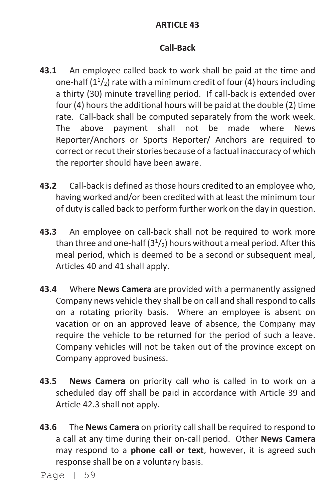#### **Call-Back**

- **43.1** An employee called back to work shall be paid at the time and one-half  $(1<sup>1</sup>/<sub>2</sub>)$  rate with a minimum credit of four (4) hours including a thirty (30) minute travelling period. If call-back is extended over four (4) hours the additional hours will be paid at the double (2) time rate. Call-back shall be computed separately from the work week. The above payment shall not be made where News Reporter/Anchors or Sports Reporter/ Anchors are required to correct or recut their stories because of a factual inaccuracy of which the reporter should have been aware.
- **43.2** Call-back is defined as those hours credited to an employee who, having worked and/or been credited with at least the minimum tour of duty is called back to perform further work on the day in question.
- **43.3** An employee on call-back shall not be required to work more than three and one-half  $(3<sup>1</sup>/<sub>2</sub>)$  hours without a meal period. After this meal period, which is deemed to be a second or subsequent meal, Articles 40 and 41 shall apply.
- **43.4** Where **News Camera** are provided with a permanently assigned Company news vehicle they shall be on call and shall respond to calls on a rotating priority basis. Where an employee is absent on vacation or on an approved leave of absence, the Company may require the vehicle to be returned for the period of such a leave. Company vehicles will not be taken out of the province except on Company approved business.
- **43.5 News Camera** on priority call who is called in to work on a scheduled day off shall be paid in accordance with Article 39 and Article 42.3 shall not apply.
- **43.6** The **News Camera** on priority call shall be required to respond to a call at any time during their on-call period. Other **News Camera** may respond to a **phone call or text**, however, it is agreed such response shall be on a voluntary basis.

Page | 59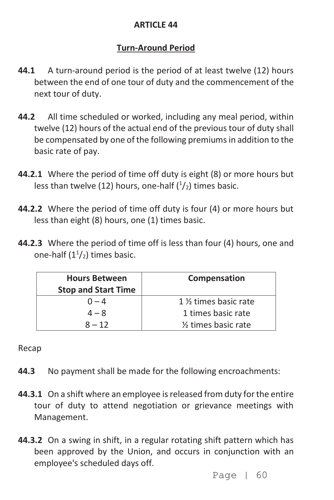# **Turn-Around Period**

- **44.1** A turn-around period is the period of at least twelve (12) hours between the end of one tour of duty and the commencement of the next tour of duty.
- **44.2** All time scheduled or worked, including any meal period, within twelve (12) hours of the actual end of the previous tour of duty shall be compensated by one of the following premiums in addition to the basic rate of pay.
- **44.2.1** Where the period of time off duty is eight (8) or more hours but less than twelve (12) hours, one-half  $\binom{1}{2}$  times basic.
- **44.2.2** Where the period of time off duty is four (4) or more hours but less than eight (8) hours, one (1) times basic.
- **44.2.3** Where the period of time off is less than four (4) hours, one and one-half  $(1<sup>1</sup>/<sub>2</sub>)$  times basic.

| <b>Hours Between</b><br><b>Stop and Start Time</b> | Compensation                     |
|----------------------------------------------------|----------------------------------|
| $0 - 4$                                            | 1 % times basic rate             |
| $4 - 8$                                            | 1 times basic rate               |
| $8 - 12$                                           | 1/ <sub>2</sub> times basic rate |

Recap

- **44.3** No payment shall be made for the following encroachments:
- **44.3.1** On a shift where an employee is released from duty for the entire tour of duty to attend negotiation or grievance meetings with Management.
- **44.3.2** On a swing in shift, in a regular rotating shift pattern which has been approved by the Union, and occurs in conjunction with an employee's scheduled days off.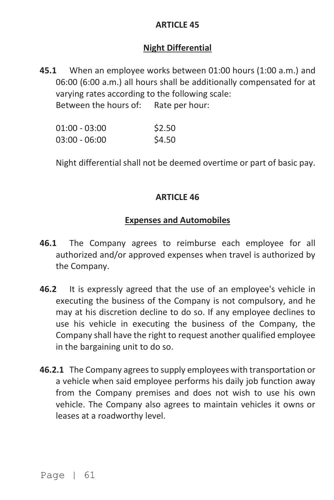# **Night Differential**

**45.1** When an employee works between 01:00 hours (1:00 a.m.) and 06:00 (6:00 a.m.) all hours shall be additionally compensated for at varying rates according to the following scale: Between the hours of: Rate per hour:

01:00 - 03:00 \$2.50 03:00 - 06:00 \$4.50

Night differential shall not be deemed overtime or part of basic pay.

#### **ARTICLE 46**

#### **Expenses and Automobiles**

- **46.1** The Company agrees to reimburse each employee for all authorized and/or approved expenses when travel is authorized by the Company.
- **46.2** It is expressly agreed that the use of an employee's vehicle in executing the business of the Company is not compulsory, and he may at his discretion decline to do so. If any employee declines to use his vehicle in executing the business of the Company, the Company shall have the right to request another qualified employee in the bargaining unit to do so.
- **46.2.1** The Company agrees to supply employees with transportation or a vehicle when said employee performs his daily job function away from the Company premises and does not wish to use his own vehicle. The Company also agrees to maintain vehicles it owns or leases at a roadworthy level.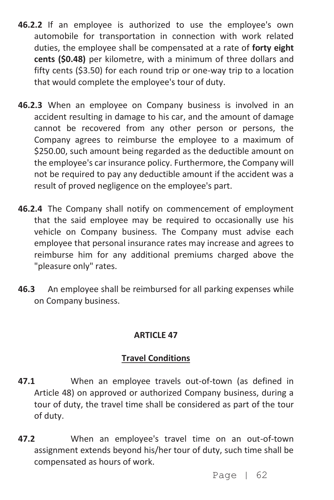- **46.2.2** If an employee is authorized to use the employee's own automobile for transportation in connection with work related duties, the employee shall be compensated at a rate of **forty eight cents (\$0.48)** per kilometre, with a minimum of three dollars and fifty cents (\$3.50) for each round trip or one-way trip to a location that would complete the employee's tour of duty.
- **46.2.3** When an employee on Company business is involved in an accident resulting in damage to his car, and the amount of damage cannot be recovered from any other person or persons, the Company agrees to reimburse the employee to a maximum of \$250.00, such amount being regarded as the deductible amount on the employee's car insurance policy. Furthermore, the Company will not be required to pay any deductible amount if the accident was a result of proved negligence on the employee's part.
- **46.2.4** The Company shall notify on commencement of employment that the said employee may be required to occasionally use his vehicle on Company business. The Company must advise each employee that personal insurance rates may increase and agrees to reimburse him for any additional premiums charged above the "pleasure only" rates.
- **46.3** An employee shall be reimbursed for all parking expenses while on Company business.

# **Travel Conditions**

- **47.1** When an employee travels out-of-town (as defined in Article 48) on approved or authorized Company business, during a tour of duty, the travel time shall be considered as part of the tour of duty.
- **47.2** When an employee's travel time on an out-of-town assignment extends beyond his/her tour of duty, such time shall be compensated as hours of work.

Page | 62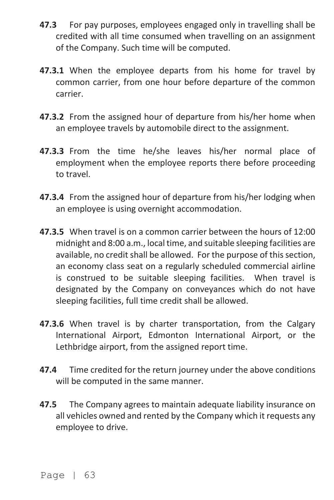- **47.3** For pay purposes, employees engaged only in travelling shall be credited with all time consumed when travelling on an assignment of the Company. Such time will be computed.
- **47.3.1** When the employee departs from his home for travel by common carrier, from one hour before departure of the common carrier.
- **47.3.2** From the assigned hour of departure from his/her home when an employee travels by automobile direct to the assignment.
- **47.3.3** From the time he/she leaves his/her normal place of employment when the employee reports there before proceeding to travel.
- **47.3.4** From the assigned hour of departure from his/her lodging when an employee is using overnight accommodation.
- **47.3.5** When travel is on a common carrier between the hours of 12:00 midnight and 8:00 a.m., local time, and suitable sleeping facilities are available, no credit shall be allowed. For the purpose of this section, an economy class seat on a regularly scheduled commercial airline is construed to be suitable sleeping facilities. When travel is designated by the Company on conveyances which do not have sleeping facilities, full time credit shall be allowed.
- **47.3.6** When travel is by charter transportation, from the Calgary International Airport, Edmonton International Airport, or the Lethbridge airport, from the assigned report time.
- **47.4** Time credited for the return journey under the above conditions will be computed in the same manner.
- **47.5** The Company agrees to maintain adequate liability insurance on all vehicles owned and rented by the Company which it requests any employee to drive.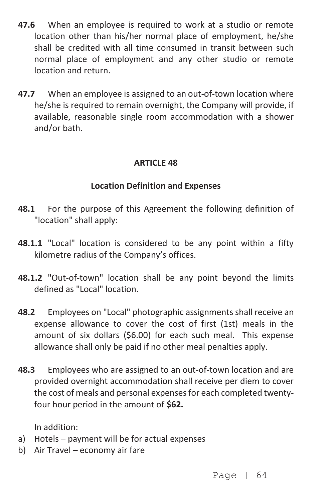- **47.6** When an employee is required to work at a studio or remote location other than his/her normal place of employment, he/she shall be credited with all time consumed in transit between such normal place of employment and any other studio or remote location and return.
- **47.7** When an employee is assigned to an out-of-town location where he/she is required to remain overnight, the Company will provide, if available, reasonable single room accommodation with a shower and/or bath.

#### **Location Definition and Expenses**

- **48.1** For the purpose of this Agreement the following definition of "location" shall apply:
- **48.1.1** "Local" location is considered to be any point within a fifty kilometre radius of the Company's offices.
- **48.1.2** "Out-of-town" location shall be any point beyond the limits defined as "Local" location.
- **48.2** Employees on "Local" photographic assignments shall receive an expense allowance to cover the cost of first (1st) meals in the amount of six dollars (\$6.00) for each such meal. This expense allowance shall only be paid if no other meal penalties apply.
- **48.3** Employees who are assigned to an out-of-town location and are provided overnight accommodation shall receive per diem to cover the cost of meals and personal expenses for each completed twentyfour hour period in the amount of **\$62.**

In addition:

- a) Hotels payment will be for actual expenses
- b) Air Travel economy air fare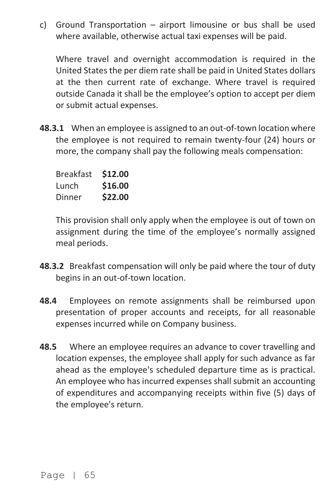c) Ground Transportation – airport limousine or bus shall be used where available, otherwise actual taxi expenses will be paid.

Where travel and overnight accommodation is required in the United States the per diem rate shall be paid in United States dollars at the then current rate of exchange. Where travel is required outside Canada it shall be the employee's option to accept per diem or submit actual expenses.

**48.3.1** When an employee is assigned to an out-of-town location where the employee is not required to remain twenty-four (24) hours or more, the company shall pay the following meals compensation:

| Breakfast | \$12.00 |
|-----------|---------|
| Lunch     | \$16.00 |
| Dinner    | \$22.00 |

This provision shall only apply when the employee is out of town on assignment during the time of the employee's normally assigned meal periods.

- **48.3.2** Breakfast compensation will only be paid where the tour of duty begins in an out-of-town location.
- **48.4** Employees on remote assignments shall be reimbursed upon presentation of proper accounts and receipts, for all reasonable expenses incurred while on Company business.
- **48.5** Where an employee requires an advance to cover travelling and location expenses, the employee shall apply for such advance as far ahead as the employee's scheduled departure time as is practical. An employee who has incurred expenses shall submit an accounting of expenditures and accompanying receipts within five (5) days of the employee's return.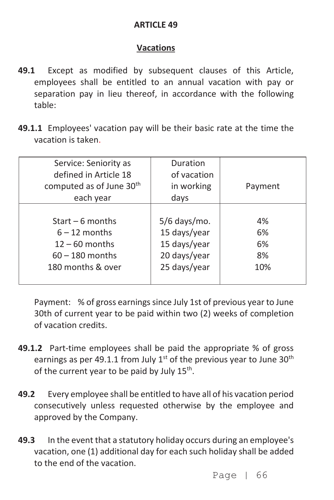# **Vacations**

- **49.1** Except as modified by subsequent clauses of this Article, employees shall be entitled to an annual vacation with pay or separation pay in lieu thereof, in accordance with the following table:
- **49.1.1** Employees' vacation pay will be their basic rate at the time the vacation is taken.

| Service: Seniority as<br>defined in Article 18<br>computed as of June 30 <sup>th</sup><br>each year | Duration<br>of vacation<br>in working<br>days | Payment |
|-----------------------------------------------------------------------------------------------------|-----------------------------------------------|---------|
| $Start - 6 months$                                                                                  | $5/6$ days/mo.                                | 4%      |
| $6 - 12$ months                                                                                     | 15 days/year                                  | 6%      |
| $12 - 60$ months                                                                                    | 15 days/year                                  | 6%      |
| $60 - 180$ months                                                                                   | 20 days/year                                  | 8%      |
| 180 months & over                                                                                   | 25 days/year                                  | 10%     |

 Payment: % of gross earnings since July 1st of previous year to June 30th of current year to be paid within two (2) weeks of completion of vacation credits.

- **49.1.2** Part-time employees shall be paid the appropriate % of gross earnings as per 49.1.1 from July  $1<sup>st</sup>$  of the previous year to June 30<sup>th</sup> of the current year to be paid by July 15<sup>th</sup>.
- **49.2** Every employee shall be entitled to have all of his vacation period consecutively unless requested otherwise by the employee and approved by the Company.
- **49.3** In the event that a statutory holiday occurs during an employee's vacation, one (1) additional day for each such holiday shall be added to the end of the vacation.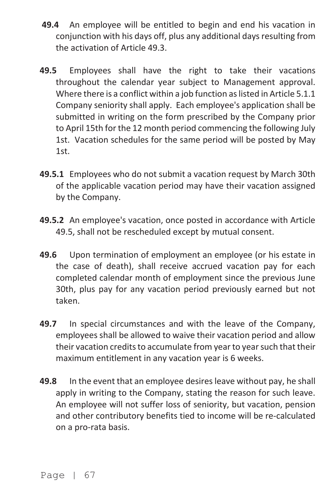- **49.4** An employee will be entitled to begin and end his vacation in conjunction with his days off, plus any additional days resulting from the activation of Article 49.3.
- **49.5** Employees shall have the right to take their vacations throughout the calendar year subject to Management approval. Where there is a conflict within a job function as listed in Article 5.1.1 Company seniority shall apply. Each employee's application shall be submitted in writing on the form prescribed by the Company prior to April 15th for the 12 month period commencing the following July 1st. Vacation schedules for the same period will be posted by May 1st.
- **49.5.1** Employees who do not submit a vacation request by March 30th of the applicable vacation period may have their vacation assigned by the Company.
- **49.5.2** An employee's vacation, once posted in accordance with Article 49.5, shall not be rescheduled except by mutual consent.
- **49.6** Upon termination of employment an employee (or his estate in the case of death), shall receive accrued vacation pay for each completed calendar month of employment since the previous June 30th, plus pay for any vacation period previously earned but not taken.
- **49.7** In special circumstances and with the leave of the Company, employees shall be allowed to waive their vacation period and allow their vacation credits to accumulate from year to year such that their maximum entitlement in any vacation year is 6 weeks.
- **49.8** In the event that an employee desires leave without pay, he shall apply in writing to the Company, stating the reason for such leave. An employee will not suffer loss of seniority, but vacation, pension and other contributory benefits tied to income will be re-calculated on a pro-rata basis.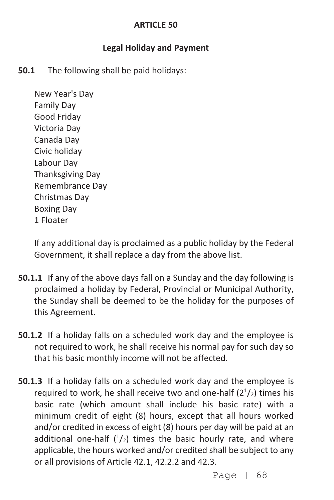# **Legal Holiday and Payment**

**50.1** The following shall be paid holidays:

 New Year's Day Family Day Good Friday Victoria Day Canada Day Civic holiday Labour Day Thanksgiving Day Remembrance Day Christmas Day Boxing Day 1 Floater

 If any additional day is proclaimed as a public holiday by the Federal Government, it shall replace a day from the above list.

- **50.1.1** If any of the above days fall on a Sunday and the day following is proclaimed a holiday by Federal, Provincial or Municipal Authority, the Sunday shall be deemed to be the holiday for the purposes of this Agreement.
- **50.1.2** If a holiday falls on a scheduled work day and the employee is not required to work, he shall receive his normal pay for such day so that his basic monthly income will not be affected.
- **50.1.3** If a holiday falls on a scheduled work day and the employee is required to work, he shall receive two and one-half  $(2^{1}/_{2})$  times his basic rate (which amount shall include his basic rate) with a minimum credit of eight (8) hours, except that all hours worked and/or credited in excess of eight (8) hours per day will be paid at an additional one-half  $\binom{1}{2}$  times the basic hourly rate, and where applicable, the hours worked and/or credited shall be subject to any or all provisions of Article 42.1, 42.2.2 and 42.3.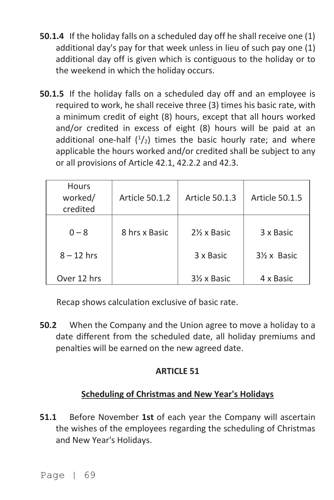- **50.1.4** If the holiday falls on a scheduled day off he shall receive one (1) additional day's pay for that week unless in lieu of such pay one (1) additional day off is given which is contiguous to the holiday or to the weekend in which the holiday occurs.
- **50.1.5** If the holiday falls on a scheduled day off and an employee is required to work, he shall receive three (3) times his basic rate, with a minimum credit of eight (8) hours, except that all hours worked and/or credited in excess of eight (8) hours will be paid at an additional one-half  $\binom{1}{2}$  times the basic hourly rate; and where applicable the hours worked and/or credited shall be subject to any or all provisions of Article 42.1, 42.2.2 and 42.3.

| Hours<br>worked/<br>credited | Article 50.1.2 | Article 50.1.3 | Article 50.1.5 |
|------------------------------|----------------|----------------|----------------|
| $0 - 8$                      | 8 hrs x Basic  | 2% x Basic     | 3 x Basic      |
| $8 - 12$ hrs                 |                | 3 x Basic      | 3% x Basic     |
| Over 12 hrs                  |                | 3½ x Basic     | 4 x Basic      |

Recap shows calculation exclusive of basic rate.

**50.2** When the Company and the Union agree to move a holiday to a date different from the scheduled date, all holiday premiums and penalties will be earned on the new agreed date.

# **ARTICLE 51**

# **Scheduling of Christmas and New Year's Holidays**

**51.1** Before November **1st** of each year the Company will ascertain the wishes of the employees regarding the scheduling of Christmas and New Year's Holidays.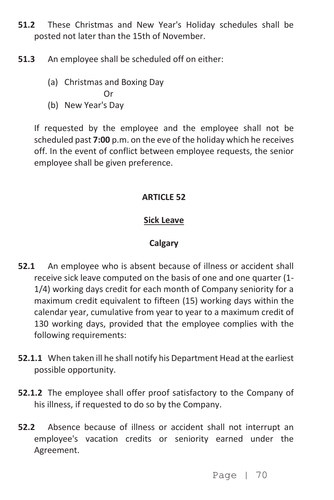- **51.2** These Christmas and New Year's Holiday schedules shall be posted not later than the 15th of November.
- **51.3** An employee shall be scheduled off on either:
	- (a) Christmas and Boxing Day

$$
\mathsf{Or} \hspace{2.5mm} \mathsf{Or}
$$

(b) New Year's Day

 If requested by the employee and the employee shall not be scheduled past **7:00** p.m. on the eve of the holiday which he receives off. In the event of conflict between employee requests, the senior employee shall be given preference.

# **ARTICLE 52**

# **Sick Leave**

# **Calgary**

- **52.1** An employee who is absent because of illness or accident shall receive sick leave computed on the basis of one and one quarter (1- 1/4) working days credit for each month of Company seniority for a maximum credit equivalent to fifteen (15) working days within the calendar year, cumulative from year to year to a maximum credit of 130 working days, provided that the employee complies with the following requirements:
- **52.1.1** When taken ill he shall notify his Department Head at the earliest possible opportunity.
- **52.1.2** The employee shall offer proof satisfactory to the Company of his illness, if requested to do so by the Company.
- **52.2** Absence because of illness or accident shall not interrupt an employee's vacation credits or seniority earned under the Agreement.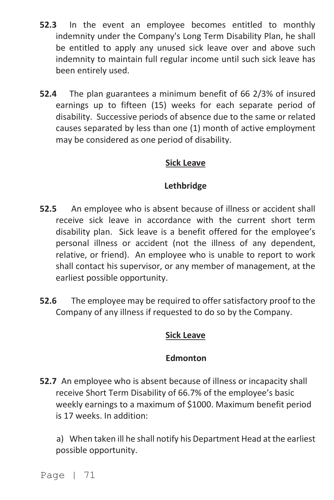- **52.3** In the event an employee becomes entitled to monthly indemnity under the Company's Long Term Disability Plan, he shall be entitled to apply any unused sick leave over and above such indemnity to maintain full regular income until such sick leave has been entirely used.
- **52.4** The plan guarantees a minimum benefit of 66 2/3% of insured earnings up to fifteen (15) weeks for each separate period of disability. Successive periods of absence due to the same or related causes separated by less than one (1) month of active employment may be considered as one period of disability.

# **Sick Leave**

# **Lethbridge**

- **52.5** An employee who is absent because of illness or accident shall receive sick leave in accordance with the current short term disability plan. Sick leave is a benefit offered for the employee's personal illness or accident (not the illness of any dependent, relative, or friend). An employee who is unable to report to work shall contact his supervisor, or any member of management, at the earliest possible opportunity.
- **52.6** The employee may be required to offer satisfactory proof to the Company of any illness if requested to do so by the Company.

#### **Sick Leave**

#### **Edmonton**

**52.7** An employee who is absent because of illness or incapacity shall receive Short Term Disability of 66.7% of the employee's basic weekly earnings to a maximum of \$1000. Maximum benefit period is 17 weeks. In addition:

 a) When taken ill he shall notify his Department Head at the earliest possible opportunity.

Page | 71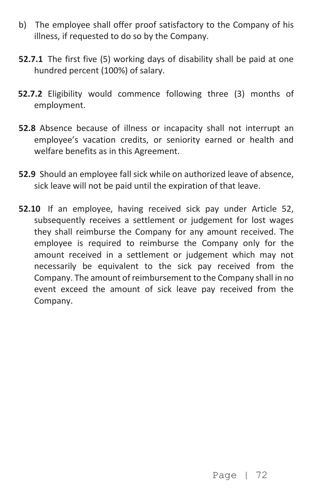- b) The employee shall offer proof satisfactory to the Company of his illness, if requested to do so by the Company.
- **52.7.1** The first five (5) working days of disability shall be paid at one hundred percent (100%) of salary.
- **52.7.2** Eligibility would commence following three (3) months of employment.
- **52.8** Absence because of illness or incapacity shall not interrupt an employee's vacation credits, or seniority earned or health and welfare benefits as in this Agreement.
- **52.9** Should an employee fall sick while on authorized leave of absence, sick leave will not be paid until the expiration of that leave.
- **52.10** If an employee, having received sick pay under Article 52, subsequently receives a settlement or judgement for lost wages they shall reimburse the Company for any amount received. The employee is required to reimburse the Company only for the amount received in a settlement or judgement which may not necessarily be equivalent to the sick pay received from the Company. The amount of reimbursement to the Company shall in no event exceed the amount of sick leave pay received from the Company.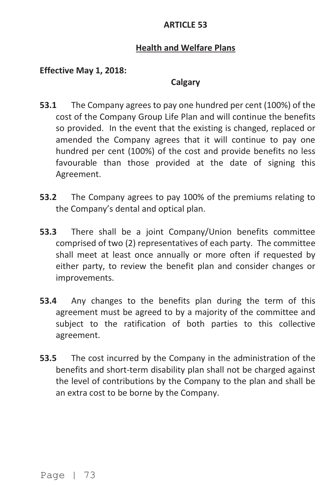#### **ARTICLE 53**

### **Health and Welfare Plans**

### **Effective May 1, 2018:**

#### **Calgary**

- **53.1** The Company agrees to pay one hundred per cent (100%) of the cost of the Company Group Life Plan and will continue the benefits so provided. In the event that the existing is changed, replaced or amended the Company agrees that it will continue to pay one hundred per cent (100%) of the cost and provide benefits no less favourable than those provided at the date of signing this Agreement.
- **53.2** The Company agrees to pay 100% of the premiums relating to the Company's dental and optical plan.
- **53.3** There shall be a joint Company/Union benefits committee comprised of two (2) representatives of each party. The committee shall meet at least once annually or more often if requested by either party, to review the benefit plan and consider changes or improvements.
- **53.4** Any changes to the benefits plan during the term of this agreement must be agreed to by a majority of the committee and subject to the ratification of both parties to this collective agreement.
- **53.5** The cost incurred by the Company in the administration of the benefits and short-term disability plan shall not be charged against the level of contributions by the Company to the plan and shall be an extra cost to be borne by the Company.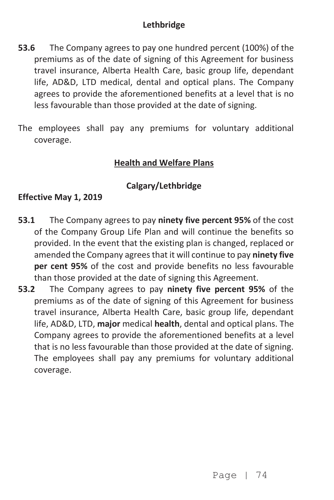- **53.6** The Company agrees to pay one hundred percent (100%) of the premiums as of the date of signing of this Agreement for business travel insurance, Alberta Health Care, basic group life, dependant life, AD&D, LTD medical, dental and optical plans. The Company agrees to provide the aforementioned benefits at a level that is no less favourable than those provided at the date of signing.
- The employees shall pay any premiums for voluntary additional coverage.

# **Health and Welfare Plans**

# **Calgary/Lethbridge**

## **Effective May 1, 2019**

- **53.1** The Company agrees to pay **ninety five percent 95%** of the cost of the Company Group Life Plan and will continue the benefits so provided. In the event that the existing plan is changed, replaced or amended the Company agrees that it will continue to pay **ninety five per cent 95%** of the cost and provide benefits no less favourable than those provided at the date of signing this Agreement.
- **53.2** The Company agrees to pay **ninety five percent 95%** of the premiums as of the date of signing of this Agreement for business travel insurance, Alberta Health Care, basic group life, dependant life, AD&D, LTD, **major** medical **health**, dental and optical plans. The Company agrees to provide the aforementioned benefits at a level that is no less favourable than those provided at the date of signing. The employees shall pay any premiums for voluntary additional coverage.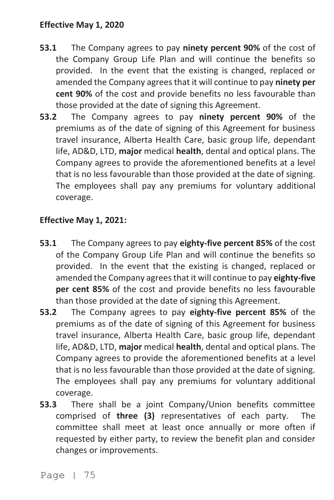#### **Effective May 1, 2020**

- **53.1** The Company agrees to pay **ninety percent 90%** of the cost of the Company Group Life Plan and will continue the benefits so provided. In the event that the existing is changed, replaced or amended the Company agrees that it will continue to pay **ninety per cent 90%** of the cost and provide benefits no less favourable than those provided at the date of signing this Agreement.
- **53.2** The Company agrees to pay **ninety percent 90%** of the premiums as of the date of signing of this Agreement for business travel insurance, Alberta Health Care, basic group life, dependant life, AD&D, LTD, **major** medical **health**, dental and optical plans. The Company agrees to provide the aforementioned benefits at a level that is no less favourable than those provided at the date of signing. The employees shall pay any premiums for voluntary additional coverage.

#### **Effective May 1, 2021:**

- **53.1** The Company agrees to pay **eighty-five percent 85%** of the cost of the Company Group Life Plan and will continue the benefits so provided. In the event that the existing is changed, replaced or amended the Company agrees that it will continue to pay **eighty-five per cent 85%** of the cost and provide benefits no less favourable than those provided at the date of signing this Agreement.
- **53.2** The Company agrees to pay **eighty-five percent 85%** of the premiums as of the date of signing of this Agreement for business travel insurance, Alberta Health Care, basic group life, dependant life, AD&D, LTD, **major** medical **health**, dental and optical plans. The Company agrees to provide the aforementioned benefits at a level that is no less favourable than those provided at the date of signing. The employees shall pay any premiums for voluntary additional coverage.
- **53.3** There shall be a joint Company/Union benefits committee comprised of **three (3)** representatives of each party. The committee shall meet at least once annually or more often if requested by either party, to review the benefit plan and consider changes or improvements.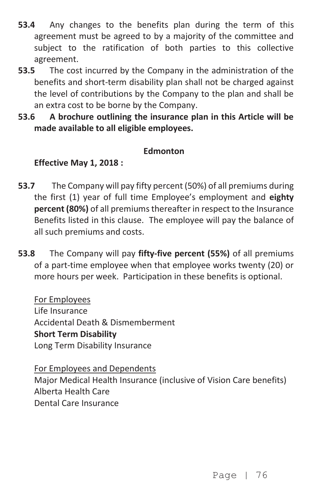- **53.4** Any changes to the benefits plan during the term of this agreement must be agreed to by a majority of the committee and subject to the ratification of both parties to this collective agreement.
- **53.5** The cost incurred by the Company in the administration of the benefits and short-term disability plan shall not be charged against the level of contributions by the Company to the plan and shall be an extra cost to be borne by the Company.
- **53.6 A brochure outlining the insurance plan in this Article will be made available to all eligible employees.**

#### **Edmonton**

## **Effective May 1, 2018 :**

- **53.7** The Company will pay fifty percent (50%) of all premiums during the first (1) year of full time Employee's employment and **eighty percent (80%)** of all premiums thereafter in respect to the Insurance Benefits listed in this clause. The employee will pay the balance of all such premiums and costs.
- **53.8** The Company will pay **fifty-five percent (55%)** of all premiums of a part-time employee when that employee works twenty (20) or more hours per week. Participation in these benefits is optional.

For Employees Life Insurance Accidental Death & Dismemberment **Short Term Disability** Long Term Disability Insurance

For Employees and Dependents Major Medical Health Insurance (inclusive of Vision Care benefits) Alberta Health Care Dental Care Insurance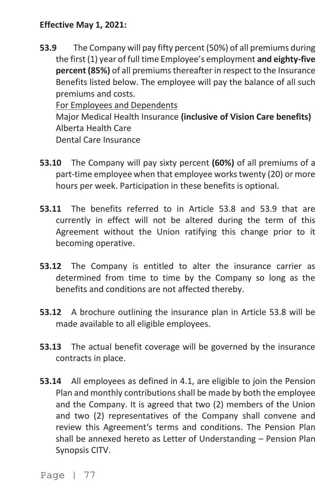#### **Effective May 1, 2021:**

**53.9** The Company will pay fifty percent (50%) of all premiums during the first (1) year of full time Employee's employment **and eighty-five percent (85%)** of all premiums thereafter in respect to the Insurance Benefits listed below. The employee will pay the balance of all such premiums and costs.

For Employees and Dependents Major Medical Health Insurance **(inclusive of Vision Care benefits)**  Alberta Health Care Dental Care Insurance

- **53.10** The Company will pay sixty percent **(60%)** of all premiums of a part-time employee when that employee works twenty (20) or more hours per week. Participation in these benefits is optional.
- **53.11** The benefits referred to in Article 53.8 and 53.9 that are currently in effect will not be altered during the term of this Agreement without the Union ratifying this change prior to it becoming operative.
- **53.12** The Company is entitled to alter the insurance carrier as determined from time to time by the Company so long as the benefits and conditions are not affected thereby.
- **53.12** A brochure outlining the insurance plan in Article 53.8 will be made available to all eligible employees.
- **53.13** The actual benefit coverage will be governed by the insurance contracts in place.
- **53.14** All employees as defined in 4.1, are eligible to join the Pension Plan and monthly contributions shall be made by both the employee and the Company. It is agreed that two (2) members of the Union and two (2) representatives of the Company shall convene and review this Agreement's terms and conditions. The Pension Plan shall be annexed hereto as Letter of Understanding – Pension Plan Synopsis CITV.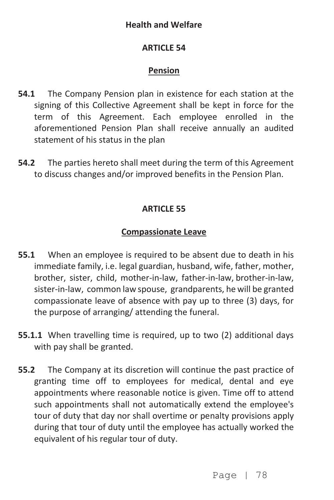#### **Health and Welfare**

#### **ARTICLE 54**

#### **Pension**

- **54.1** The Company Pension plan in existence for each station at the signing of this Collective Agreement shall be kept in force for the term of this Agreement. Each employee enrolled in the aforementioned Pension Plan shall receive annually an audited statement of his status in the plan
- **54.2** The parties hereto shall meet during the term of this Agreement to discuss changes and/or improved benefits in the Pension Plan.

#### **ARTICLE 55**

#### **Compassionate Leave**

- **55.1** When an employee is required to be absent due to death in his immediate family, i.e. legal guardian, husband, wife, father, mother, brother, sister, child, mother-in-law, father-in-law, brother-in-law, sister-in-law, common law spouse, grandparents, he will be granted compassionate leave of absence with pay up to three (3) days, for the purpose of arranging/ attending the funeral.
- **55.1.1** When travelling time is required, up to two (2) additional days with pay shall be granted.
- **55.2** The Company at its discretion will continue the past practice of granting time off to employees for medical, dental and eye appointments where reasonable notice is given. Time off to attend such appointments shall not automatically extend the employee's tour of duty that day nor shall overtime or penalty provisions apply during that tour of duty until the employee has actually worked the equivalent of his regular tour of duty.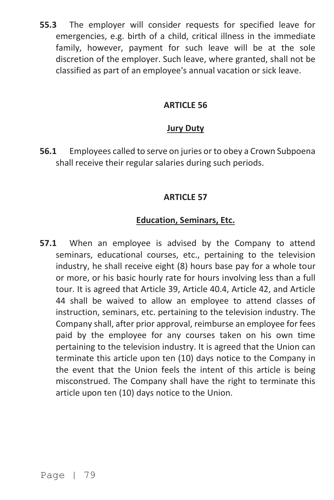**55.3** The employer will consider requests for specified leave for emergencies, e.g. birth of a child, critical illness in the immediate family, however, payment for such leave will be at the sole discretion of the employer. Such leave, where granted, shall not be classified as part of an employee's annual vacation or sick leave.

#### **ARTICLE 56**

#### **Jury Duty**

**56.1** Employees called to serve on juries or to obey a Crown Subpoena shall receive their regular salaries during such periods.

#### **ARTICLE 57**

#### **Education, Seminars, Etc.**

**57.1** When an employee is advised by the Company to attend seminars, educational courses, etc., pertaining to the television industry, he shall receive eight (8) hours base pay for a whole tour or more, or his basic hourly rate for hours involving less than a full tour. It is agreed that Article 39, Article 40.4, Article 42, and Article 44 shall be waived to allow an employee to attend classes of instruction, seminars, etc. pertaining to the television industry. The Company shall, after prior approval, reimburse an employee for fees paid by the employee for any courses taken on his own time pertaining to the television industry. It is agreed that the Union can terminate this article upon ten (10) days notice to the Company in the event that the Union feels the intent of this article is being misconstrued. The Company shall have the right to terminate this article upon ten (10) days notice to the Union.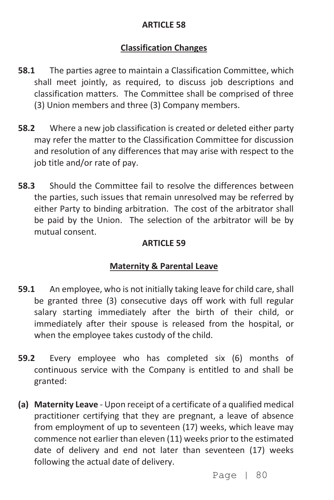### **ARTICLE 58**

## **Classification Changes**

- **58.1** The parties agree to maintain a Classification Committee, which shall meet jointly, as required, to discuss job descriptions and classification matters. The Committee shall be comprised of three (3) Union members and three (3) Company members.
- **58.2** Where a new job classification is created or deleted either party may refer the matter to the Classification Committee for discussion and resolution of any differences that may arise with respect to the job title and/or rate of pay.
- **58.3** Should the Committee fail to resolve the differences between the parties, such issues that remain unresolved may be referred by either Party to binding arbitration. The cost of the arbitrator shall be paid by the Union. The selection of the arbitrator will be by mutual consent.

## **ARTICLE 59**

## **Maternity & Parental Leave**

- **59.1** An employee, who is not initially taking leave for child care, shall be granted three (3) consecutive days off work with full regular salary starting immediately after the birth of their child, or immediately after their spouse is released from the hospital, or when the employee takes custody of the child.
- **59.2** Every employee who has completed six (6) months of continuous service with the Company is entitled to and shall be granted:
- **(a) Maternity Leave** Upon receipt of a certificate of a qualified medical practitioner certifying that they are pregnant, a leave of absence from employment of up to seventeen (17) weeks, which leave may commence not earlier than eleven (11) weeks prior to the estimated date of delivery and end not later than seventeen (17) weeks following the actual date of delivery.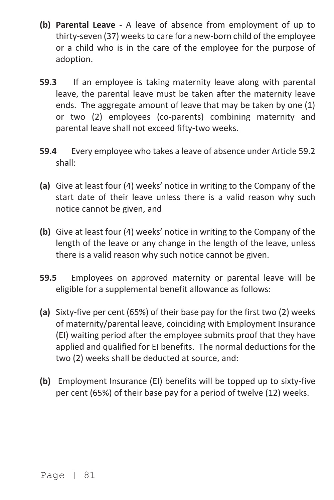- **(b) Parental Leave** A leave of absence from employment of up to thirty-seven (37) weeks to care for a new-born child of the employee or a child who is in the care of the employee for the purpose of adoption.
- **59.3** If an employee is taking maternity leave along with parental leave, the parental leave must be taken after the maternity leave ends. The aggregate amount of leave that may be taken by one (1) or two (2) employees (co-parents) combining maternity and parental leave shall not exceed fifty-two weeks.
- **59.4** Every employee who takes a leave of absence under Article 59.2 shall:
- **(a)** Give at least four (4) weeks' notice in writing to the Company of the start date of their leave unless there is a valid reason why such notice cannot be given, and
- **(b)** Give at least four (4) weeks' notice in writing to the Company of the length of the leave or any change in the length of the leave, unless there is a valid reason why such notice cannot be given.
- **59.5** Employees on approved maternity or parental leave will be eligible for a supplemental benefit allowance as follows:
- **(a)** Sixty-five per cent (65%) of their base pay for the first two (2) weeks of maternity/parental leave, coinciding with Employment Insurance (EI) waiting period after the employee submits proof that they have applied and qualified for EI benefits. The normal deductions for the two (2) weeks shall be deducted at source, and:
- **(b)** Employment Insurance (EI) benefits will be topped up to sixty-five per cent (65%) of their base pay for a period of twelve (12) weeks.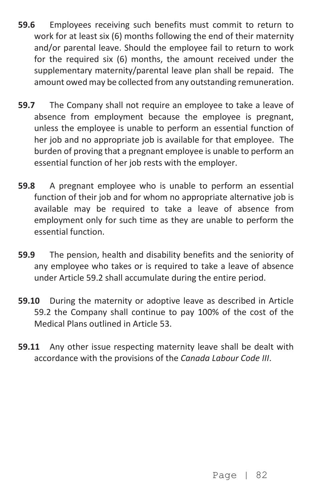- **59.6** Employees receiving such benefits must commit to return to work for at least six (6) months following the end of their maternity and/or parental leave. Should the employee fail to return to work for the required six (6) months, the amount received under the supplementary maternity/parental leave plan shall be repaid. The amount owed may be collected from any outstanding remuneration.
- **59.7** The Company shall not require an employee to take a leave of absence from employment because the employee is pregnant, unless the employee is unable to perform an essential function of her job and no appropriate job is available for that employee. The burden of proving that a pregnant employee is unable to perform an essential function of her job rests with the employer.
- **59.8** A pregnant employee who is unable to perform an essential function of their job and for whom no appropriate alternative job is available may be required to take a leave of absence from employment only for such time as they are unable to perform the essential function.
- **59.9** The pension, health and disability benefits and the seniority of any employee who takes or is required to take a leave of absence under Article 59.2 shall accumulate during the entire period.
- **59.10** During the maternity or adoptive leave as described in Article 59.2 the Company shall continue to pay 100% of the cost of the Medical Plans outlined in Article 53.
- **59.11** Any other issue respecting maternity leave shall be dealt with accordance with the provisions of the *Canada Labour Code III*.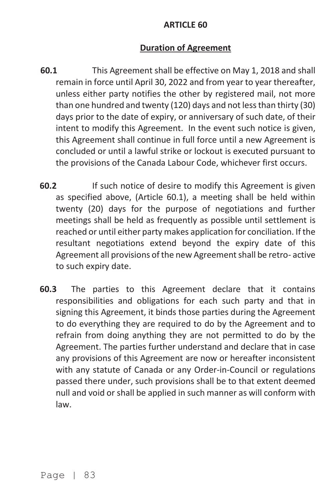#### **ARTICLE 60**

## **Duration of Agreement**

- **60.1** This Agreement shall be effective on May 1, 2018 and shall remain in force until April 30, 2022 and from year to year thereafter, unless either party notifies the other by registered mail, not more than one hundred and twenty (120) days and not less than thirty (30) days prior to the date of expiry, or anniversary of such date, of their intent to modify this Agreement. In the event such notice is given, this Agreement shall continue in full force until a new Agreement is concluded or until a lawful strike or lockout is executed pursuant to the provisions of the Canada Labour Code, whichever first occurs.
- **60.2** If such notice of desire to modify this Agreement is given as specified above, (Article 60.1), a meeting shall be held within twenty (20) days for the purpose of negotiations and further meetings shall be held as frequently as possible until settlement is reached or until either party makes application for conciliation. If the resultant negotiations extend beyond the expiry date of this Agreement all provisions of the new Agreement shall be retro- active to such expiry date.
- **60.3** The parties to this Agreement declare that it contains responsibilities and obligations for each such party and that in signing this Agreement, it binds those parties during the Agreement to do everything they are required to do by the Agreement and to refrain from doing anything they are not permitted to do by the Agreement. The parties further understand and declare that in case any provisions of this Agreement are now or hereafter inconsistent with any statute of Canada or any Order-in-Council or regulations passed there under, such provisions shall be to that extent deemed null and void or shall be applied in such manner as will conform with law.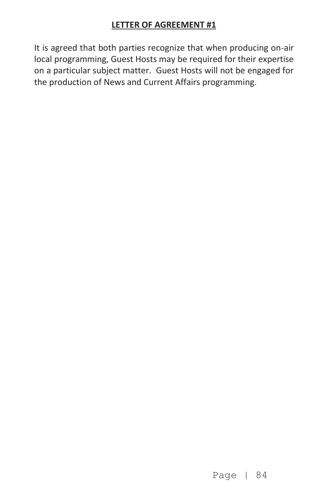It is agreed that both parties recognize that when producing on-air local programming, Guest Hosts may be required for their expertise on a particular subject matter. Guest Hosts will not be engaged for the production of News and Current Affairs programming.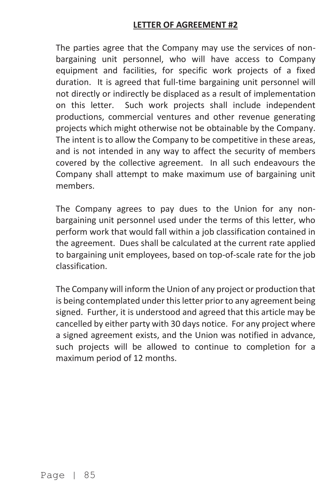The parties agree that the Company may use the services of nonbargaining unit personnel, who will have access to Company equipment and facilities, for specific work projects of a fixed duration. It is agreed that full-time bargaining unit personnel will not directly or indirectly be displaced as a result of implementation on this letter. Such work projects shall include independent productions, commercial ventures and other revenue generating projects which might otherwise not be obtainable by the Company. The intent is to allow the Company to be competitive in these areas, and is not intended in any way to affect the security of members covered by the collective agreement. In all such endeavours the Company shall attempt to make maximum use of bargaining unit members.

 The Company agrees to pay dues to the Union for any nonbargaining unit personnel used under the terms of this letter, who perform work that would fall within a job classification contained in the agreement. Dues shall be calculated at the current rate applied to bargaining unit employees, based on top-of-scale rate for the job classification.

 The Company will inform the Union of any project or production that is being contemplated under this letter prior to any agreement being signed. Further, it is understood and agreed that this article may be cancelled by either party with 30 days notice. For any project where a signed agreement exists, and the Union was notified in advance, such projects will be allowed to continue to completion for a maximum period of 12 months.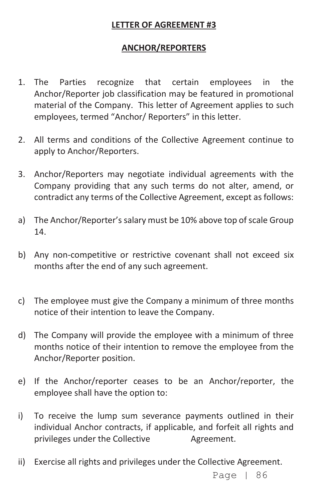### **ANCHOR/REPORTERS**

- 1. The Parties recognize that certain employees in the Anchor/Reporter job classification may be featured in promotional material of the Company. This letter of Agreement applies to such employees, termed "Anchor/ Reporters" in this letter.
- 2. All terms and conditions of the Collective Agreement continue to apply to Anchor/Reporters.
- 3. Anchor/Reporters may negotiate individual agreements with the Company providing that any such terms do not alter, amend, or contradict any terms of the Collective Agreement, except as follows:
- a) The Anchor/Reporter's salary must be 10% above top of scale Group 14.
- b) Any non-competitive or restrictive covenant shall not exceed six months after the end of any such agreement.
- c) The employee must give the Company a minimum of three months notice of their intention to leave the Company.
- d) The Company will provide the employee with a minimum of three months notice of their intention to remove the employee from the Anchor/Reporter position.
- e) If the Anchor/reporter ceases to be an Anchor/reporter, the employee shall have the option to:
- i) To receive the lump sum severance payments outlined in their individual Anchor contracts, if applicable, and forfeit all rights and privileges under the Collective **Agreement.**
- ii) Exercise all rights and privileges under the Collective Agreement.

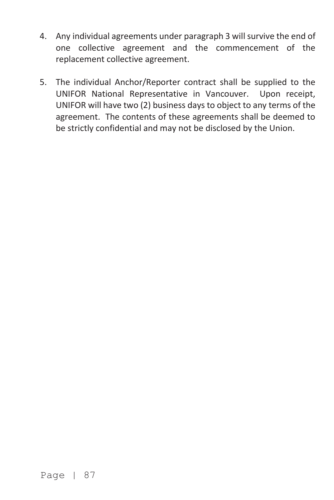- 4. Any individual agreements under paragraph 3 will survive the end of one collective agreement and the commencement of the replacement collective agreement.
- 5. The individual Anchor/Reporter contract shall be supplied to the UNIFOR National Representative in Vancouver. Upon receipt, UNIFOR will have two (2) business days to object to any terms of the agreement. The contents of these agreements shall be deemed to be strictly confidential and may not be disclosed by the Union.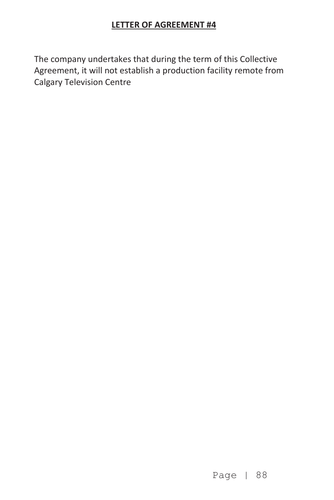The company undertakes that during the term of this Collective Agreement, it will not establish a production facility remote from Calgary Television Centre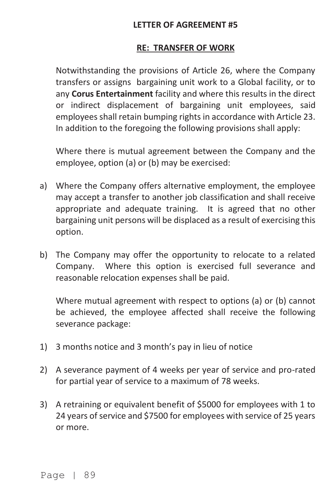#### **RE: TRANSFER OF WORK**

 Notwithstanding the provisions of Article 26, where the Company transfers or assigns bargaining unit work to a Global facility, or to any **Corus Entertainment** facility and where this results in the direct or indirect displacement of bargaining unit employees, said employees shall retain bumping rights in accordance with Article 23. In addition to the foregoing the following provisions shall apply:

 Where there is mutual agreement between the Company and the employee, option (a) or (b) may be exercised:

- a) Where the Company offers alternative employment, the employee may accept a transfer to another job classification and shall receive appropriate and adequate training. It is agreed that no other bargaining unit persons will be displaced as a result of exercising this option.
- b) The Company may offer the opportunity to relocate to a related Company. Where this option is exercised full severance and reasonable relocation expenses shall be paid.

 Where mutual agreement with respect to options (a) or (b) cannot be achieved, the employee affected shall receive the following severance package:

- 1) 3 months notice and 3 month's pay in lieu of notice
- 2) A severance payment of 4 weeks per year of service and pro-rated for partial year of service to a maximum of 78 weeks.
- 3) A retraining or equivalent benefit of \$5000 for employees with 1 to 24 years of service and \$7500 for employees with service of 25 years or more.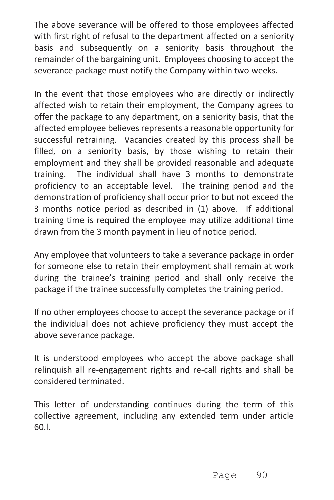The above severance will be offered to those employees affected with first right of refusal to the department affected on a seniority basis and subsequently on a seniority basis throughout the remainder of the bargaining unit. Employees choosing to accept the severance package must notify the Company within two weeks.

 In the event that those employees who are directly or indirectly affected wish to retain their employment, the Company agrees to offer the package to any department, on a seniority basis, that the affected employee believes represents a reasonable opportunity for successful retraining. Vacancies created by this process shall be filled, on a seniority basis, by those wishing to retain their employment and they shall be provided reasonable and adequate training. The individual shall have 3 months to demonstrate proficiency to an acceptable level. The training period and the demonstration of proficiency shall occur prior to but not exceed the 3 months notice period as described in (1) above. If additional training time is required the employee may utilize additional time drawn from the 3 month payment in lieu of notice period.

 Any employee that volunteers to take a severance package in order for someone else to retain their employment shall remain at work during the trainee's training period and shall only receive the package if the trainee successfully completes the training period.

 If no other employees choose to accept the severance package or if the individual does not achieve proficiency they must accept the above severance package.

 It is understood employees who accept the above package shall relinquish all re-engagement rights and re-call rights and shall be considered terminated.

 This letter of understanding continues during the term of this collective agreement, including any extended term under article 60.l.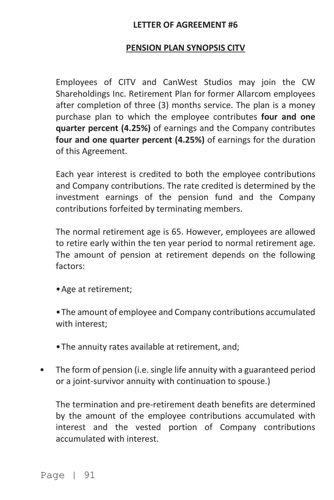#### **PENSION PLAN SYNOPSIS CITV**

 Employees of CITV and CanWest Studios may join the CW Shareholdings Inc. Retirement Plan for former Allarcom employees after completion of three (3) months service. The plan is a money purchase plan to which the employee contributes **four and one quarter percent (4.25%)** of earnings and the Company contributes **four and one quarter percent (4.25%)** of earnings for the duration of this Agreement.

 Each year interest is credited to both the employee contributions and Company contributions. The rate credited is determined by the investment earnings of the pension fund and the Company contributions forfeited by terminating members.

 The normal retirement age is 65. However, employees are allowed to retire early within the ten year period to normal retirement age. The amount of pension at retirement depends on the following factors:

• Age at retirement;

 • The amount of employee and Company contributions accumulated with interest;

- The annuity rates available at retirement, and;
- The form of pension (i.e. single life annuity with a guaranteed period or a joint-survivor annuity with continuation to spouse.)

 The termination and pre-retirement death benefits are determined by the amount of the employee contributions accumulated with interest and the vested portion of Company contributions accumulated with interest.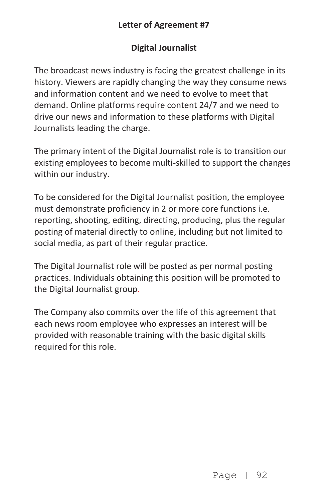#### **Letter of Agreement #7**

## **Digital Journalist**

The broadcast news industry is facing the greatest challenge in its history. Viewers are rapidly changing the way they consume news and information content and we need to evolve to meet that demand. Online platforms require content 24/7 and we need to drive our news and information to these platforms with Digital Journalists leading the charge.

The primary intent of the Digital Journalist role is to transition our existing employees to become multi-skilled to support the changes within our industry.

To be considered for the Digital Journalist position, the employee must demonstrate proficiency in 2 or more core functions i.e. reporting, shooting, editing, directing, producing, plus the regular posting of material directly to online, including but not limited to social media, as part of their regular practice.

The Digital Journalist role will be posted as per normal posting practices. Individuals obtaining this position will be promoted to the Digital Journalist group.

The Company also commits over the life of this agreement that each news room employee who expresses an interest will be provided with reasonable training with the basic digital skills required for this role.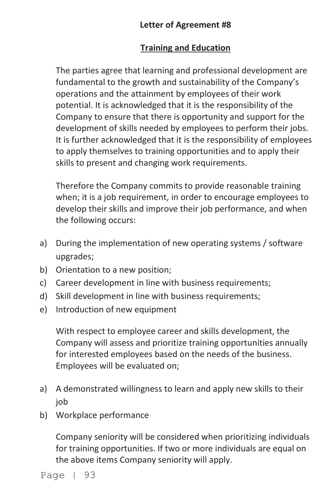## **Letter of Agreement #8**

## **Training and Education**

The parties agree that learning and professional development are fundamental to the growth and sustainability of the Company's operations and the attainment by employees of their work potential. It is acknowledged that it is the responsibility of the Company to ensure that there is opportunity and support for the development of skills needed by employees to perform their jobs. It is further acknowledged that it is the responsibility of employees to apply themselves to training opportunities and to apply their skills to present and changing work requirements.

Therefore the Company commits to provide reasonable training when; it is a job requirement, in order to encourage employees to develop their skills and improve their job performance, and when the following occurs:

- a) During the implementation of new operating systems / software upgrades;
- b) Orientation to a new position;
- c) Career development in line with business requirements;
- d) Skill development in line with business requirements;
- e) Introduction of new equipment

With respect to employee career and skills development, the Company will assess and prioritize training opportunities annually for interested employees based on the needs of the business. Employees will be evaluated on;

- a) A demonstrated willingness to learn and apply new skills to their job
- b) Workplace performance

Company seniority will be considered when prioritizing individuals for training opportunities. If two or more individuals are equal on the above items Company seniority will apply.

Page | 93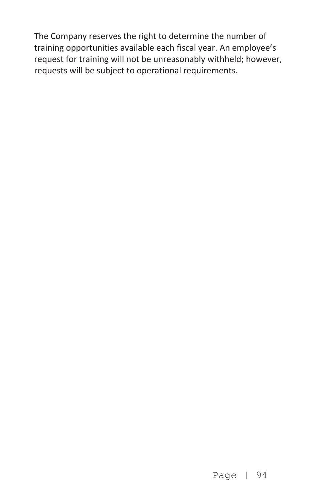The Company reserves the right to determine the number of training opportunities available each fiscal year. An employee's request for training will not be unreasonably withheld; however, requests will be subject to operational requirements.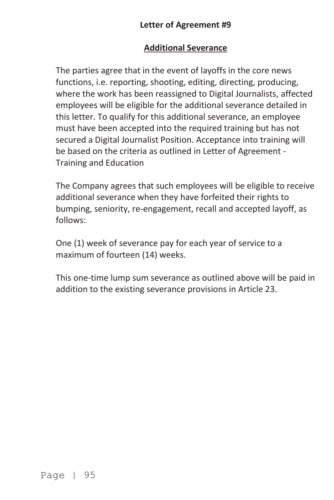## **Letter of Agreement #9**

## **Additional Severance**

The parties agree that in the event of layoffs in the core news functions, i.e. reporting, shooting, editing, directing, producing, where the work has been reassigned to Digital Journalists, affected employees will be eligible for the additional severance detailed in this letter. To qualify for this additional severance, an employee must have been accepted into the required training but has not secured a Digital Journalist Position. Acceptance into training will be based on the criteria as outlined in Letter of Agreement - Training and Education

The Company agrees that such employees will be eligible to receive additional severance when they have forfeited their rights to bumping, seniority, re-engagement, recall and accepted layoff, as follows:

One (1) week of severance pay for each year of service to a maximum of fourteen (14) weeks.

This one-time lump sum severance as outlined above will be paid in addition to the existing severance provisions in Article 23.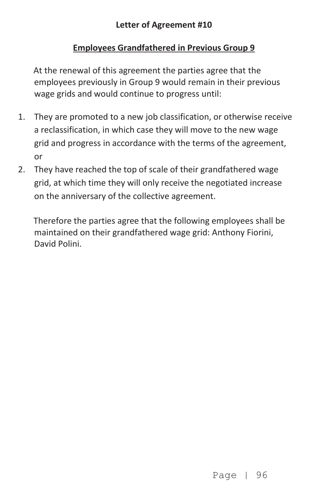### **Letter of Agreement #10**

### **Employees Grandfathered in Previous Group 9**

At the renewal of this agreement the parties agree that the employees previously in Group 9 would remain in their previous wage grids and would continue to progress until:

- 1. They are promoted to a new job classification, or otherwise receive a reclassification, in which case they will move to the new wage grid and progress in accordance with the terms of the agreement, or
- 2. They have reached the top of scale of their grandfathered wage grid, at which time they will only receive the negotiated increase on the anniversary of the collective agreement.

Therefore the parties agree that the following employees shall be maintained on their grandfathered wage grid: Anthony Fiorini, David Polini.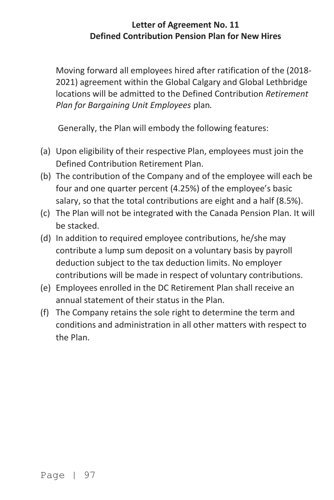#### **Letter of Agreement No. 11 Defined Contribution Pension Plan for New Hires**

Moving forward all employees hired after ratification of the (2018- 2021) agreement within the Global Calgary and Global Lethbridge locations will be admitted to the Defined Contribution *Retirement Plan for Bargaining Unit Employees* plan*.* 

Generally, the Plan will embody the following features:

- (a) Upon eligibility of their respective Plan, employees must join the Defined Contribution Retirement Plan.
- (b) The contribution of the Company and of the employee will each be four and one quarter percent (4.25%) of the employee's basic salary, so that the total contributions are eight and a half (8.5%).
- (c) The Plan will not be integrated with the Canada Pension Plan. It will be stacked.
- (d) In addition to required employee contributions, he/she may contribute a lump sum deposit on a voluntary basis by payroll deduction subject to the tax deduction limits. No employer contributions will be made in respect of voluntary contributions.
- (e) Employees enrolled in the DC Retirement Plan shall receive an annual statement of their status in the Plan.
- (f) The Company retains the sole right to determine the term and conditions and administration in all other matters with respect to the Plan.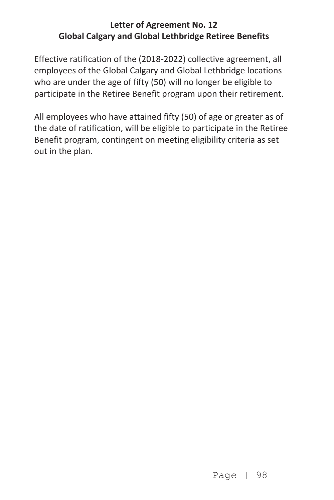## **Letter of Agreement No. 12 Global Calgary and Global Lethbridge Retiree Benefits**

Effective ratification of the (2018-2022) collective agreement, all employees of the Global Calgary and Global Lethbridge locations who are under the age of fifty (50) will no longer be eligible to participate in the Retiree Benefit program upon their retirement.

All employees who have attained fifty (50) of age or greater as of the date of ratification, will be eligible to participate in the Retiree Benefit program, contingent on meeting eligibility criteria as set out in the plan.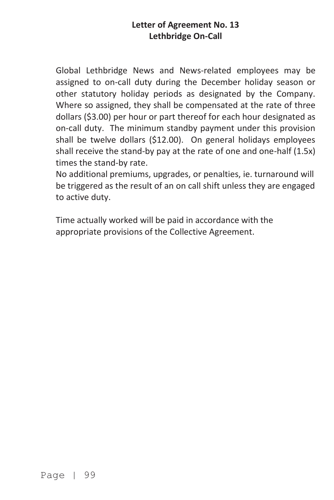Global Lethbridge News and News-related employees may be assigned to on-call duty during the December holiday season or other statutory holiday periods as designated by the Company. Where so assigned, they shall be compensated at the rate of three dollars (\$3.00) per hour or part thereof for each hour designated as on-call duty. The minimum standby payment under this provision shall be twelve dollars (\$12.00). On general holidays employees shall receive the stand-by pay at the rate of one and one-half (1.5x) times the stand-by rate.

No additional premiums, upgrades, or penalties, ie. turnaround will be triggered as the result of an on call shift unless they are engaged to active duty.

Time actually worked will be paid in accordance with the appropriate provisions of the Collective Agreement.